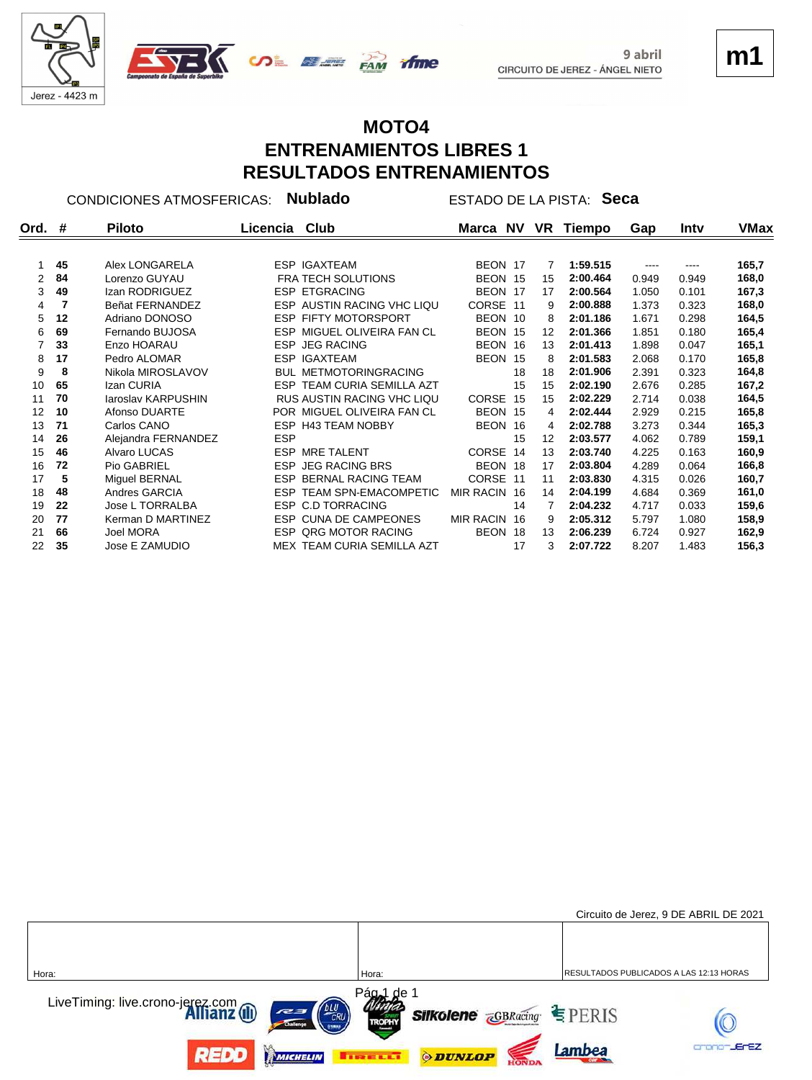

**m1**

# **MOTO4**

**ENTRENAMIENTOS LIBRES 1 RESULTADOS ENTRENAMIENTOS**

**Ord. Piloto Licencia Club Marca Tiempo Gap NV VR # Intv VMax** CONDICIONES ATMOSFERICAS: **Nublado** ESTADO DE LA PISTA: **Seca 45** Alex LONGARELA **ESP IGAXTEAM** BEON 17 7 **1:59.515** ---- --- **165,7 84** Lorenzo GUYAU FRA TECH SOLUTIONS BEON 15 15 0.949 **2:00.464** 0.949 **168,0 49** Izan RODRIGUEZ E S P ETGRACING BEON 17 17 0.101 **2:00.564** 1.050 **167,3 7** Beñat FERNANDEZ E S P AUSTIN RACING VHC LIQU CORSE 11 9 0.323 **2:00.888** 1.373 **168,0 12** Adriano DONOSO E S P FIFTY MOTORSPORT BEON 10 8 0.298 **2:01.186** 1.671 **164,5 69** Fernando BUJOSA E S P MIGUEL OLIVEIRA FAN CL BEON 15 12 0.180 **2:01.366** 1.851 **165,4 33** Enzo HOARAU E S P JEG RACING BEON 16 13 0.047 **2:01.413** 1.898 **165,1 17** Pedro ALOMAR **ESP IGAXTEAM** BEON 15 8 **2:01.583** 2.068 0.170 **165,8 8** Nikola MIROSLAVOV B U L METMOTORINGRACING 18 18 0.323 **2:01.906** 2.391 **164,8 65 12an CURIA ESP TEAM CURIA SEMILLA AZT** 15 15 **2:02.190** 2.676 0.285 167,2 **70** Iaroslav KARPUSHIN RUS AUSTIN RACING VHC LIQU CORSE 15 15 0.038 **2:02.229** 2.714 **164,5 10** Afonso DUARTE P O R MIGUEL OLIVEIRA FAN CL BEON 15 4 0.215 **2:02.444** 2.929 **165,8 71** Carlos CANO **ESP H43 TEAM NOBBY BEON 16 4 2:02.788** 3.273 0.344 **26** Alejandra FERNANDEZ ESP 159,1 15 12 2:03.577 4.062 0.789 159,1 **46** Alvaro LUCAS **ESP MRE TALENT CORSE 14 13 2:03.740** 4.225 0.163 **160,9 72** Pio GABRIEL **ESP JEG RACING BRS** BEON 18 17 **2:03.804** 4.289 0.064 166,8 **5** Miguel BERNAL E S P BERNAL RACING TEAM CORSE 11 11 0.026 **2:03.830** 4.315 **160,7 48** Andres GARCIA E S P TEAM SPN-EMACOMPETIC MIR RACIN 16 14 0.369 **2:04.199** 4.684 **161,0 22** Jose L TORRALBA ESP C.D TORRACING 14 7 **2:04.232** 4.717 0.033 **77** Kerman D MARTINEZ E S P CUNA DE CAMPEONES MIR RACIN 16 9 1.080 **2:05.312** 5.797 **158,9 66** Joel MORA E S P QRG MOTOR RACING BEON 18 13 0.927 **2:06.239** 6.724 **162,9 35** Jose E ZAMUDIO M E X TEAM CURIA SEMILLA AZT 17 3 1.483 **2:07.722** 8.207 **156,3**

|                                                                              |                                                                             | Circuito de Jerez, 9 DE ABRIL DE 2021   |
|------------------------------------------------------------------------------|-----------------------------------------------------------------------------|-----------------------------------------|
| Hora:                                                                        | Hora:                                                                       | RESULTADOS PUBLICADOS A LAS 12:13 HORAS |
|                                                                              |                                                                             |                                         |
| LiveTiming: live.crono-jerez.com<br><b>Allianz</b> (III)<br><b>Challenge</b> | Pág <sub>al</sub> de 1<br><b>Silkolene GBRacing SPERIS</b><br><b>TROPHY</b> |                                         |
| REDD<br>MICHELIN                                                             | <b>ODUNLOP</b><br><b>THEFLET</b>                                            | <b>JEFEZ</b><br>Lambea                  |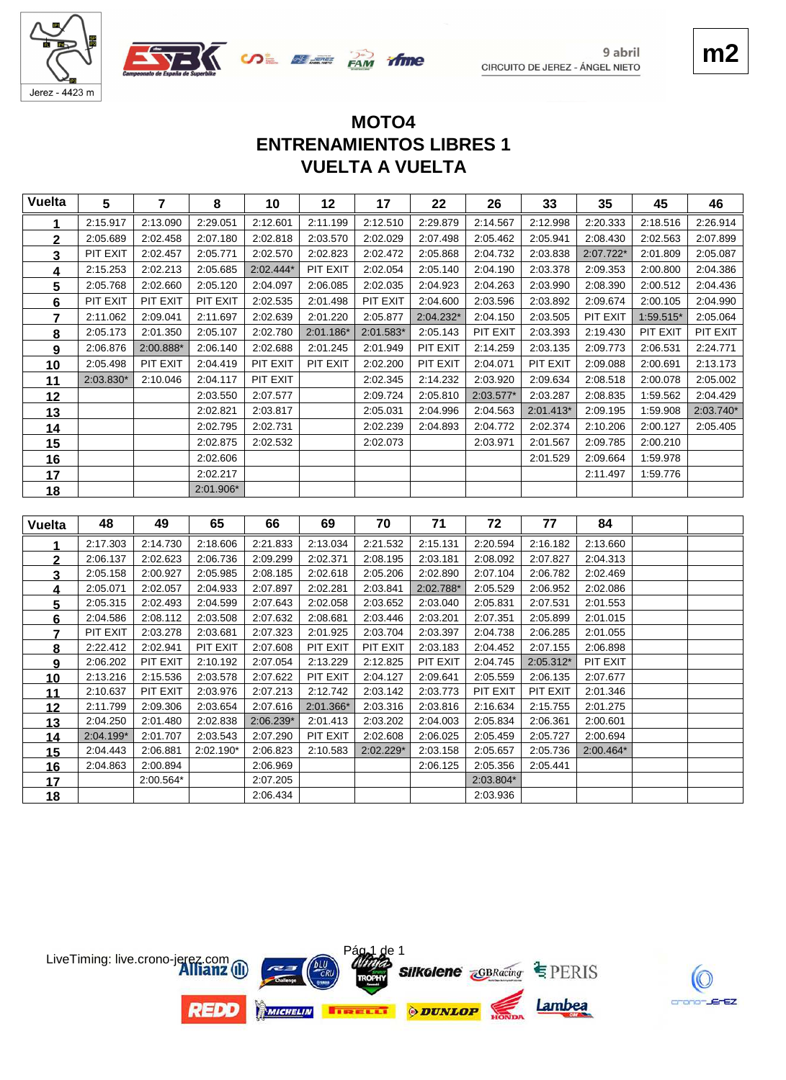



### **VUELTA A VUELTA ENTRENAMIENTOS LIBRES 1 MOTO4**

 $\infty$   $\mathbb{Z}$   $\mathbb{Z}$   $\mathbb{Z}$   $\mathbb{Z}$   $\mathbb{Z}$   $\mathbb{Z}$   $\mathbb{Z}$   $\mathbb{Z}$   $\mathbb{Z}$   $\mathbb{Z}$   $\mathbb{Z}$   $\mathbb{Z}$   $\mathbb{Z}$   $\mathbb{Z}$   $\mathbb{Z}$   $\mathbb{Z}$   $\mathbb{Z}$   $\mathbb{Z}$   $\mathbb{Z}$   $\mathbb{Z}$   $\mathbb{Z}$   $\mathbb{Z}$   $\mathbb{Z}$   $\mathbb{Z}$ 

| <b>Vuelta</b>  | 5                     | $\overline{7}$       | 8                     | 10                   | 12                   | 17                    | 22                   | 26                   | 33                   | 35                   | 45        | 46        |
|----------------|-----------------------|----------------------|-----------------------|----------------------|----------------------|-----------------------|----------------------|----------------------|----------------------|----------------------|-----------|-----------|
| 1              | 2:15.917              | 2:13.090             | 2:29.051              | 2:12.601             | 2:11.199             | 2:12.510              | 2:29.879             | 2:14.567             | 2:12.998             | 2:20.333             | 2:18.516  | 2:26.914  |
| 2              | 2:05.689              | 2:02.458             | 2:07.180              | 2:02.818             | 2:03.570             | 2:02.029              | 2:07.498             | 2:05.462             | 2:05.941             | 2:08.430             | 2:02.563  | 2:07.899  |
| 3              | PIT EXIT              | 2:02.457             | 2:05.771              | 2:02.570             | 2:02.823             | 2:02.472              | 2:05.868             | 2:04.732             | 2:03.838             | 2:07.722*            | 2:01.809  | 2:05.087  |
| 4              | 2:15.253              | 2:02.213             | 2:05.685              | 2:02.444*            | PIT EXIT             | 2:02.054              | 2:05.140             | 2:04.190             | 2:03.378             | 2:09.353             | 2:00.800  | 2:04.386  |
| 5              | 2:05.768              | 2:02.660             | 2:05.120              | 2:04.097             | 2:06.085             | 2:02.035              | 2:04.923             | 2:04.263             | 2:03.990             | 2:08.390             | 2:00.512  | 2:04.436  |
| 6              | PIT EXIT              | PIT EXIT             | PIT EXIT              | 2:02.535             | 2:01.498             | PIT EXIT              | 2:04.600             | 2:03.596             | 2:03.892             | 2:09.674             | 2:00.105  | 2:04.990  |
| $\overline{7}$ | 2:11.062              | 2:09.041             | 2:11.697              | 2:02.639             | 2:01.220             | 2:05.877              | 2:04.232*            | 2:04.150             | 2:03.505             | PIT EXIT             | 1:59.515* | 2:05.064  |
| 8              | 2:05.173              | 2:01.350             | 2:05.107              | 2:02.780             | 2:01.186*            | 2:01.583*             | 2:05.143             | PIT EXIT             | 2:03.393             | 2:19.430             | PIT EXIT  | PIT EXIT  |
| 9              | 2:06.876              | 2:00.888*            | 2:06.140              | 2:02.688             | 2:01.245             | 2:01.949              | PIT EXIT             | 2:14.259             | 2:03.135             | 2:09.773             | 2:06.531  | 2:24.771  |
| 10             | 2:05.498              | PIT EXIT             | 2:04.419              | PIT EXIT             | PIT EXIT             | 2:02.200              | PIT EXIT             | 2:04.071             | PIT EXIT             | 2:09.088             | 2:00.691  | 2:13.173  |
| 11             | 2:03.830*             | 2:10.046             | 2:04.117              | PIT EXIT             |                      | 2:02.345              | 2:14.232             | 2:03.920             | 2:09.634             | 2:08.518             | 2:00.078  | 2:05.002  |
| 12             |                       |                      | 2:03.550              | 2:07.577             |                      | 2:09.724              | 2:05.810             | 2:03.577*            | 2:03.287             | 2:08.835             | 1:59.562  | 2:04.429  |
| 13             |                       |                      | 2:02.821              | 2:03.817             |                      | 2:05.031              | 2:04.996             | 2:04.563             | 2:01.413*            | 2:09.195             | 1:59.908  | 2:03.740* |
| 14             |                       |                      | 2:02.795              | 2:02.731             |                      | 2:02.239              | 2:04.893             | 2:04.772             | 2:02.374             | 2:10.206             | 2:00.127  | 2:05.405  |
| 15             |                       |                      | 2:02.875              | 2:02.532             |                      | 2:02.073              |                      | 2:03.971             | 2:01.567             | 2:09.785             | 2:00.210  |           |
| 16             |                       |                      | 2:02.606              |                      |                      |                       |                      |                      | 2:01.529             | 2:09.664             | 1:59.978  |           |
| 17             |                       |                      | 2:02.217              |                      |                      |                       |                      |                      |                      | 2:11.497             | 1:59.776  |           |
| <u>18</u>      |                       |                      | 2:01.906*             |                      |                      |                       |                      |                      |                      |                      |           |           |
|                |                       |                      |                       |                      |                      |                       |                      |                      |                      |                      |           |           |
|                |                       |                      |                       |                      |                      |                       |                      |                      |                      |                      |           |           |
| <b>Vuelta</b>  | 48                    | 49                   | 65                    | 66                   | 69                   | 70                    | 71                   | 72                   | 77                   | 84                   |           |           |
| 1              | 2:17.303              | 2:14.730             | 2:18.606              | 2:21.833             | 2:13.034             | 2:21.532              | 2:15.131             | 2:20.594             | 2:16.182             | 2:13.660             |           |           |
| $\overline{2}$ | 2:06.137              | 2:02.623             | 2:06.736              | 2:09.299             | 2:02.371             | 2:08.195              | 2:03.181             | 2:08.092             | 2:07.827             | 2:04.313             |           |           |
| 3              | 2:05.158              | 2:00.927             | 2:05.985              | 2:08.185             | 2:02.618             | 2:05.206              | 2:02.890             | 2:07.104             | 2:06.782             | 2:02.469             |           |           |
| 4              | 2:05.071              | 2:02.057             | 2:04.933              | 2:07.897             | 2:02.281             | 2:03.841              | 2:02.788*            | 2:05.529             | 2:06.952             | 2:02.086             |           |           |
| 5              | 2:05.315              | 2:02.493             | 2:04.599              | 2:07.643             | 2:02.058             | 2:03.652              | 2:03.040             | 2:05.831             | 2:07.531             | 2:01.553             |           |           |
| 6              | 2:04.586              | 2:08.112             | 2:03.508              | 2:07.632             | 2:08.681             | 2:03.446              | 2:03.201             | 2:07.351             | 2:05.899             | 2:01.015             |           |           |
| 7              | PIT EXIT              | 2:03.278             | 2:03.681              | 2:07.323             | 2:01.925             | 2:03.704              | 2:03.397             | 2:04.738             | 2:06.285             | 2:01.055             |           |           |
| 8              | 2:22.412              | 2:02.941             | PIT EXIT              | 2:07.608             | PIT EXIT             | PIT EXIT              | 2:03.183             | 2:04.452             | 2:07.155             | 2:06.898             |           |           |
| 9              | 2:06.202              | PIT EXIT             | 2:10.192              | 2:07.054             | 2:13.229             | 2:12.825              | PIT EXIT             | 2:04.745             | 2:05.312*            | PIT EXIT             |           |           |
| 10             | 2:13.216              | 2:15.536             | 2:03.578              | 2:07.622             | PIT EXIT             | 2:04.127              | 2:09.641             | 2:05.559             | 2:06.135             | 2:07.677             |           |           |
| <u>11</u>      | 2:10.637              | PIT EXIT             | 2:03.976              | 2:07.213             | 2:12.742             | 2:03.142              | 2:03.773             | PIT EXIT             | PIT EXIT             | 2:01.346             |           |           |
| 12             | 2:11.799              | 2:09.306             | 2:03.654              | 2:07.616             | 2:01.366*            | 2:03.316              | 2:03.816             | 2:16.634             | 2:15.755             | 2:01.275             |           |           |
| 13             | 2:04.250              | 2:01.480             | 2:02.838              | 2:06.239*            | 2:01.413             | 2:03.202              | 2:04.003             | 2:05.834             | 2:06.361             | 2:00.601<br>2:00.694 |           |           |
| 14             | 2:04.199*<br>2:04.443 | 2:01.707<br>2:06.881 | 2:03.543<br>2:02.190* | 2:07.290<br>2:06.823 | PIT EXIT<br>2:10.583 | 2:02.608<br>2:02.229* | 2:06.025<br>2:03.158 | 2:05.459<br>2:05.657 | 2:05.727<br>2:05.736 | 2:00.464*            |           |           |
| 15             | 2:04.863              | 2:00.894             |                       | 2:06.969             |                      |                       | 2:06.125             | 2:05.356             | 2:05.441             |                      |           |           |
| 16<br>17       |                       | 2:00.564*            |                       | 2:07.205             |                      |                       |                      | 2:03.804*            |                      |                      |           |           |



crono-JErEZ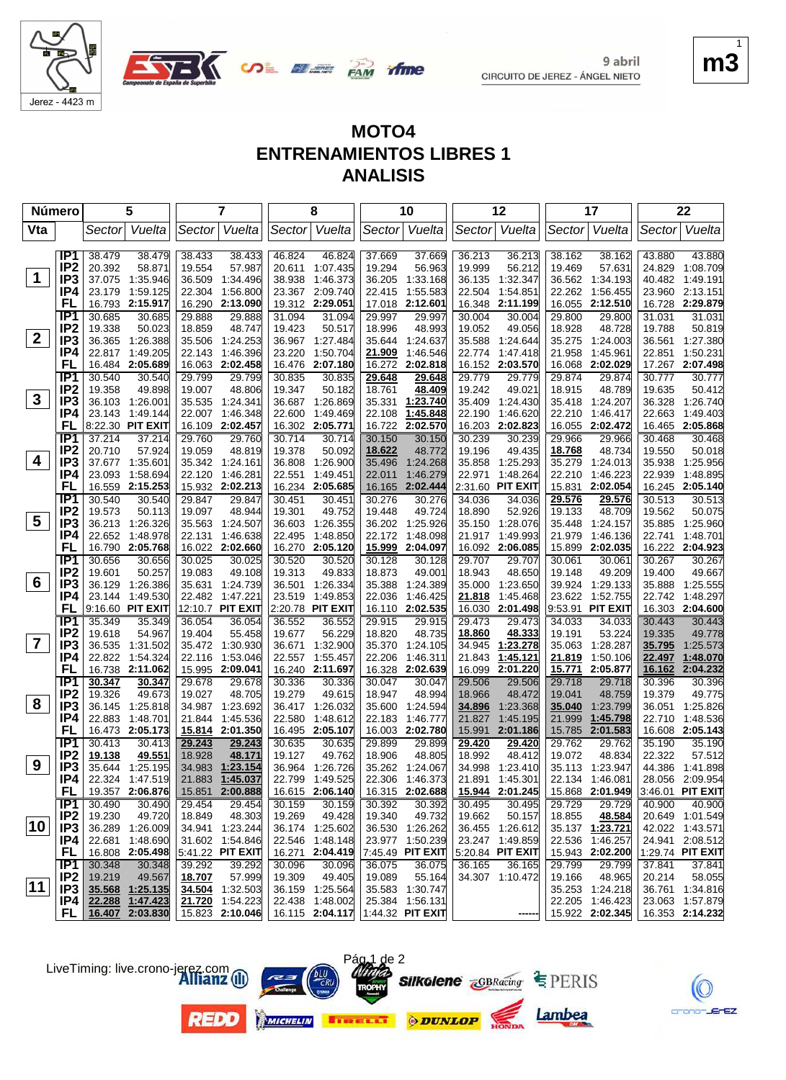



**if me** 

**SALE OF THE PAM** 

| <b>Número</b> |                                    |                  | 5                           |                  | 7                           |                  | 8                                |                  | 10                   |                  | 12                        |                  | 17                   |                  | 22                   |
|---------------|------------------------------------|------------------|-----------------------------|------------------|-----------------------------|------------------|----------------------------------|------------------|----------------------|------------------|---------------------------|------------------|----------------------|------------------|----------------------|
| Vta           |                                    | Sector           | Vuelta                      | Sector           | Vuelta                      |                  | Sector Vuelta                    | Sector           | Vuelta               |                  | Sector Vuelta             |                  | Sector Vuelta        | Sector           | Vuelta               |
|               |                                    |                  |                             |                  |                             |                  |                                  |                  |                      |                  |                           |                  |                      |                  |                      |
|               | IP <sub>1</sub><br>IP <sub>2</sub> | 38.479<br>20.392 | 38.479<br>58.871            | 38.433<br>19.554 | 38.433<br>57.987            | 46.824<br>20.611 | 46.824<br>1:07.435               | 37.669<br>19.294 | 37.669<br>56.963     | 36.213<br>19.999 | 36.213<br>56.212          | 38.162<br>19.469 | 38.162<br>57.631     | 43.880<br>24.829 | 43.880<br>1:08.709   |
| $\mathbf 1$   | IP <sub>3</sub>                    | 37.075           | 1:35.946                    | 36.509           | 1:34.496                    | 38.938           | 1:46.373                         | 36.205           | 1:33.168             | 36.135           | 1:32.347                  | 36.562           | 1:34.193             | 40.482           | 1:49.191             |
|               | IP4                                | 23.179           | 1:59.125                    | 22.304           | 1:56.800                    |                  | 23.367 2:09.740                  | 22.415           | 1:55.583             | 22.504           | 1:54.851                  | 22.262           | 1:56.455             | 23.960           | 2:13.151             |
|               | FL                                 | 16.793           | 2:15.917                    |                  | 16.290 2:13.090             | 19.312           | 2:29.051                         | 17.018           | 2:12.601             | 16.348           | 2:11.199                  | 16.055           | 2:12.510             |                  | 16.728 2:29.879      |
|               | IP <sub>1</sub>                    | 30.685           | 30.685                      | 29.888           | 29.888                      | 31.094           | 31.094                           | 29.997           | 29.997               | 30.004           | 30.004                    | 29.800           | 29.800               | 31.031           | 31.031               |
|               | IP <sub>2</sub>                    | 19.338           | 50.023                      | 18.859           | 48.747                      | 19.423           | 50.517                           | 18.996           | 48.993               | 19.052           | 49.056                    | 18.928           | 48.728               | 19.788           | 50.819               |
| $\mathbf{2}$  | IP <sub>3</sub>                    | 36.365           | 1:26.388                    |                  | 35.506 1:24.253             | 36.967           | 1.27.484                         | 35.644           | 1:24.637             | 35.588           | 1:24.644                  | 35.275           | 1:24.003             | 36.561           | 1:27.380             |
|               | IP4                                | 22.817           | 1:49.205                    | 22.143           | 1:46.396                    | 23.220           | 1:50.704                         | 21.909           | 1:46.546             | 22.774           | 1:47.418                  | 21.958           | 1:45.961             | 22.851           | 1:50.231             |
|               | FL                                 | 16.484           | 2:05.689                    |                  | 16.063 2:02.458             | 16.476           | 2:07.180                         | 16.272           | 2:02.818             | 16.152           | 2:03.570                  | 16.068           | 2:02.029             |                  | 17.267 2:07.498      |
|               | IP1                                | 30.540           | 30.540                      | 29.799           | 29.799                      | 30.835           | 30.835                           | 29.648           | 29.648               | 29.779           | 29.779                    | 29.874           | 29.874               | 30.777           | 30.777               |
|               | IP <sub>2</sub>                    | 19.358           | 49.898                      | 19.007           | 48.806                      | 19.347           | 50.182                           | 18.761           | 48.409               | 19.242           | 49.021                    | 18.915           | 48.789               | 19.635           | 50.412               |
| $\mathbf{3}$  | IP <sub>3</sub>                    |                  | 36.103 1:26.001             |                  | 35.535 1:24.341             | 36.687           | 1:26.869                         | 35.331           | 1:23.740             | 35.409           | 1:24.430                  |                  | 35.418 1:24.207      | 36.328           | 1:26.740             |
|               | IP4                                | 23.143           | 1:49.144                    | 22.007           | 1:46.348                    | 22.600           | 1:49.469                         | 22.108           | 1:45.848             | 22.190           | 1:46.620                  | 22.210           | 1:46.417             | 22.663           | 1:49.403             |
|               | FL                                 |                  | 8:22.30 PIT EXIT            |                  | 16.109 2:02.457             |                  | 16.302 2:05.771                  | 16.722           | 2:02.570             | 16.203           | 2:02.823                  | 16.055           | 2:02.472             | 16.465           | 2:05.868             |
|               | IP1                                | 37.214           | 37.214                      | 29.760           | 29.760                      | 30.714           | 30.714                           | 30.150           | 30.150               | 30.239           | 30.239                    | 29.966           | 29.966               | 30.468           | 30.468               |
| 4             | IP <sub>2</sub>                    | 20.710           | 57.924                      | 19.059           | 48.819                      | 19.378           | 50.092                           | 18.622           | 48.772               | 19.196           | 49.435                    | 18.768           | 48.734               | 19.550           | 50.018               |
|               | IP <sub>3</sub><br>IP4             | 37.677           | 1:35.601                    |                  | 35.342 1:24.161<br>1:46.281 | 36.808<br>22.551 | 1:26.900                         | 35.496<br>22.011 | 1:24.268             | 35.858<br>22.971 | 1:25.293<br>1:48.264      | 35.279           | 1:24.013             | 35.938<br>22.939 | 1:25.956<br>1:48.895 |
|               | FL                                 | 23.093           | 1:58.694<br>16.559 2:15.253 | 22.120           | 15.932 2:02.213             |                  | 1:49.451<br>16.234 2:05.685      | 16.165           | 1:46.279<br>2:02.444 |                  | 2:31.60 PIT EXIT          | 22.210<br>15.831 | 1:46.223<br>2:02.054 |                  | 16.245 2:05.140      |
|               | IP <sub>1</sub>                    | 30.540           | 30.540                      | 29.847           | 29.847                      | 30.451           | 30.451                           | 30.276           | 30.276               | 34.036           | 34.036                    | 29.576           | 29.576               | 30.513           | 30.513               |
|               | IP <sub>2</sub>                    | 19.573           | 50.113                      | 19.097           | 48.944                      | 19.301           | 49.752                           | 19.448           | 49.724               | 18.890           | 52.926                    | 19.133           | 48.709               | 19.562           | 50.075               |
| 5             | IP <sub>3</sub>                    | 36.213           | 1:26.326                    |                  | 35.563 1:24.507             | 36.603           | 1:26.355                         | 36.202           | 1:25.926             | 35.150           | 1:28.076                  | 35.448           | 1:24.157             | 35.885           | 1:25.960             |
|               | IP4                                | 22.652           | 1:48.978                    | 22.131           | 1:46.638                    | 22.495           | 1:48.850                         | 22.172           | 1:48.098             | 21.917           | 1:49.993                  | 21.979           | 1:46.136             | 22.741           | 1:48.701             |
|               | FL                                 |                  | 16.790 2:05.768             |                  | 16.022 2:02.660             |                  | 16.270 2:05.120                  | 15.999           | 2:04.097             |                  | 16.092 2:06.085           | 15.899           | 2:02.035             |                  | 16.222 2:04.923      |
|               | $\overline{IP1}$                   | 30.656           | 30.656                      | 30.025           | 30.025                      | 30.520           | 30.520                           | 30.128           | 30.128               | 29.707           | 29.707                    | 30.061           | 30.061               | 30.267           | 30.267               |
|               | IP <sub>2</sub>                    | 19.601           | 50.257                      | 19.083           | 49.108                      | 19.313           | 49.833                           | 18.873           | 49.001               | 18.943           | 48.650                    | 19.148           | 49.209               | 19.400           | 49.667               |
| 6             | IP <sub>3</sub>                    | 36.129           | 1:26.386                    |                  | 35.631 1:24.739             | 36.501           | 1:26.334                         | 35.388           | 1:24.389             | 35.000           | 1:23.650                  | 39.924           | 1:29.133             | 35.888           | 1:25.555             |
|               | IP4                                | 23.144           | 1:49.530                    |                  | 22.482 1:47.221             | 23.519           | 1:49.853                         | 22.036           | 1:46.425             | 21.818           | 1:45.468                  | 23.622           | 1:52.755             | 22.742           | 1:48.297             |
|               | FL                                 |                  | 9:16.60 PIT EXIT            |                  | 12:10.7 PIT EXIT            |                  | 2:20.78 PIT EXIT                 | 16.110           | 2:02.535             | 16.030           | 2:01.498                  |                  | 9:53.91 PIT EXIT     |                  | 16.303 2:04.600      |
|               | IP1                                | 35.349           | 35.349                      | 36.054           | 36.054                      | 36.552           | 36.552                           | 29.915           | 29.915               | 29.473           | 29.473                    | 34.033           | 34.033               | 30.443           | 30.443               |
| 7             | IP <sub>2</sub>                    | 19.618           | 54.967                      | 19.404           | 55.458                      | 19.677           | 56.229                           | 18.820           | 48.735               | 18.860           | 48.333                    | 19.191           | 53.224               | 19.335           | 49.778               |
|               | IP3                                | 36.535           | 1:31.502                    | 35.472           | 1:30.930                    | 36.671           | 1:32.900                         | 35.370           | 1:24.105             | 34.945           | 1:23.278                  | 35.063           | 1:28.287             | 35.795           | 1:25.573             |
|               | IP4<br>FL                          | 22.822           | 1:54.324                    | 22.116           | 1:53.046                    | 22.557           | 1:55.457                         | 22.206           | 1:46.311             | 21.843           | 1:45.121                  | 21.819           | 1:50.106             | 22.497           | 1:48.070             |
|               | IP1                                | 30.347           | 16.738 2:11.062<br>30.347   | 29.678           | 15.995 2:09.041<br>29.678   | 30.336           | 16.240 2:11.697<br>30.336        | 16.328<br>30.047 | 2:02.639<br>30.047   | 29.506           | 16.099 2:01.220<br>29.506 | 15.771<br>29.718 | 2:05.877<br>29.718   | 16.162<br>30.396 | 2:04.232<br>30.396   |
|               | IP <sub>2</sub>                    | 19.326           | 49.673                      | 19.027           | 48.705                      | 19.279           | 49.615                           | 18.947           | 48.994               | 18.966           | 48.472                    | 19.041           | 48.759               | 19.379           | 49.775               |
| 8             | IP <sub>3</sub>                    | 36.145           | 1:25.818                    |                  | 34.987 1:23.692             | 36.417           | 1:26.032                         | 35.600           | 1:24.594             | 34.896           | 1:23.368                  | 35.040           | 1:23.799             | 36.051           | 1:25.826             |
|               | IP4                                | 22.883           | 1:48.701                    | 21.844           | 1:45.536                    | 22.580           | 1:48.612                         | 22.183           | 1:46.777             | 21.827           | 1:45.195                  | 21.999           | 1:45.798             | 22.710           | 1:48.536             |
|               | FL                                 |                  | 16.473 2:05.173             |                  | 15.814 2:01.350             |                  | 16.495 2:05.107                  | 16.003           | 2:02.780             | 15.991           | 2:01.186                  | 15.785           | 2:01.583             |                  | 16.608 2:05.143      |
|               | IP <sub>1</sub>                    | 30.413           | 30.413                      | 29.243           | 29.243                      | 30.635           | 30.635                           | 29.899           | 29.899               | 29.420           | 29.420                    | 29.762           | 29.762               | 35.190           | 35.190               |
|               | IP <sub>2</sub>                    | 19.138           | 49.551                      | 18.928           | 48.171                      | 19.127           | 49.762                           | 18.906           | 48.805               | 18.992           | 48.412                    | 19.072           | 48.834               | 22.322           | 57.512               |
| 9             | IP <sub>3</sub>                    |                  | 35.644 1:25.195             |                  | 34.983 1:23.154             |                  | 36.964 1:26.726                  |                  | 35.262 1:24.067      | 34.998           | 1:23.410                  |                  | 35.113 1:23.947      |                  | 44.386 1:41.898      |
|               | IP4                                |                  | 22.324 1:47.519             |                  | 21.883 1:45.037             |                  | 22.799 1:49.525                  |                  | 22.306 1:46.373      |                  | 21.891 1:45.301           |                  | 22.134 1:46.081      |                  | 28.056 2:09.954      |
|               | <b>FL</b>                          |                  | 19.357 2:06.876             |                  | 15.851 2:00.888             |                  | 16.615 2:06.140                  |                  | 16.315 2:02.688      |                  | 15.944 2:01.245           |                  | 15.868 2:01.949      |                  | 3:46.01 PIT EXIT     |
|               | IP1                                | 30.490           | 30.490                      | 29.454           | 29.454                      | 30.159           | 30.159                           | 30.392           | 30.392               | 30.495           | 30.495                    | 29.729           | 29.729               | 40.900           | 40.900               |
|               | IP <sub>2</sub>                    | 19.230           | 49.720                      | 18.849           | 48.303                      | 19.269           | 49.428                           | 19.340           | 49.732               | 19.662           | 50.157                    | 18.855           | 48.584               |                  | 20.649 1:01.549      |
| 10            | IP <sub>3</sub>                    |                  | 36.289 1:26.009             |                  | 34.941 1:23.244             |                  | 36.174 1:25.602                  |                  | 36.530 1:26.262      |                  | 36.455 1:26.612           |                  | 35.137 1:23.721      |                  | 42.022 1:43.571      |
|               | IP4                                |                  | 22.681 1:48.690             |                  | 31.602 1:54.846             |                  | 22.546 1:48.148                  |                  | 23.977 1:50.239      |                  | 23.247 1:49.859           |                  | 22.536 1:46.257      |                  | 24.941 2:08.512      |
|               | <b>FL</b>                          |                  | 16.808 2:05.498             |                  | 5:41.22 PIT EXIT            |                  | 16.271 2:04.419                  |                  | $ 7:45.49$ PIT EXIT  |                  | 5:20.84 PIT EXIT          |                  | 15.943 2:02.200      |                  | 1:29.74 PIT EXIT     |
|               | IP1<br>IP <sub>2</sub>             | 30.348<br>19.219 | 30.348<br>49.567            | 39.292<br>18.707 | 39.292<br>57.999            | 30.096<br>19.309 | 30.096<br>49.405                 | 36.075<br>19.089 | 36.075<br>55.164     | 36.165           | 36.165<br>34.307 1:10.472 | 29.799<br>19.166 | 29.799<br>48.965     | 37.841<br>20.214 | 37.841<br>58.055     |
| 11            | IP3                                |                  | 35.568 1:25.135             |                  | 34.504 1:32.503             |                  | 36.159 1:25.564                  |                  | 35.583 1:30.747      |                  |                           |                  | 35.253 1:24.218      |                  | 36.761 1:34.816      |
|               | IP4                                |                  | 22.288 1:47.423             |                  | 21.720 1:54.223             |                  | 22.438 1:48.002                  |                  | 25.384 1:56.131      |                  |                           |                  | 22.205 1:46.423      |                  | 23.063 1:57.879      |
|               | FL                                 |                  | 16.407 2:03.830             |                  | 15.823 2:10.046             |                  | 16.115 2:04.117 1:44.32 PIT EXIT |                  |                      |                  |                           |                  | 15.922 2:02.345      |                  | 16.353 2:14.232      |
|               |                                    |                  |                             |                  |                             |                  |                                  |                  |                      |                  |                           |                  |                      |                  |                      |





**REDO** 



1

 $m$ 



Lambea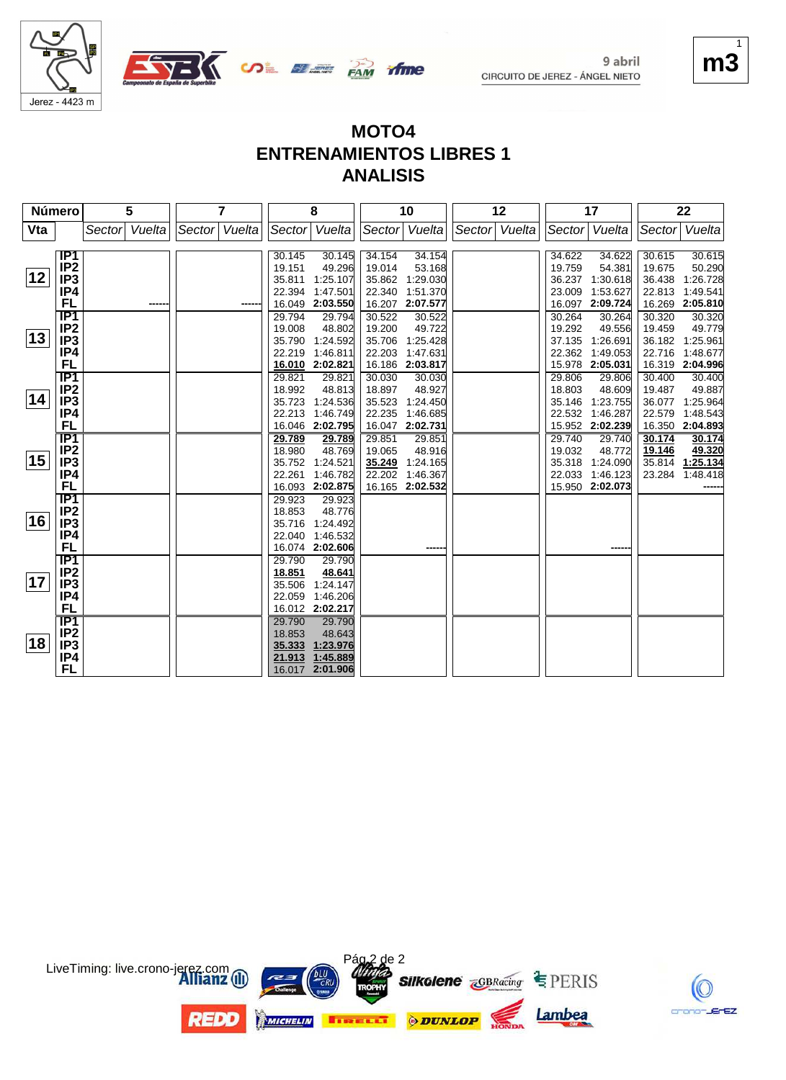

9 abril



### **MOTO4 ENTRENAMIENTOS LIBRES 1 ANALISIS**

| Número |                  | 5                | 7                |                  | 8                         |                  | 10                 |        | 12     |        | 17                        |                  | 22                 |
|--------|------------------|------------------|------------------|------------------|---------------------------|------------------|--------------------|--------|--------|--------|---------------------------|------------------|--------------------|
| Vta    |                  | Vuelta<br>Sector | Sector<br>Vuelta | Sector           | Vuelta                    | Sector           | Vuelta             | Sector | Vuelta | Sector | Vuelta                    | Sector           | Vuelta             |
|        |                  |                  |                  |                  |                           |                  |                    |        |        |        |                           |                  |                    |
|        | IP1              |                  |                  | 30.145           | 30.145                    | 34.154           | 34.154             |        |        | 34.622 | 34.622                    | 30.615           | 30.615             |
| 12     | IP <sub>2</sub>  |                  |                  | 19.151           | 49.296                    | 19.014           | 53.168             |        |        | 19.759 | 54.381                    | 19.675           | 50.290             |
|        | IP <sub>3</sub>  |                  |                  | 35.811           | 1:25.107                  | 35.862           | 1:29.030           |        |        | 36.237 | 1:30.618                  | 36.438           | 1:26.728           |
|        | IP4              |                  |                  | 22.394           | 1:47.501                  | 22.340           | 1:51.370           |        |        | 23.009 | 1:53.627                  | 22.813           | 1:49.541           |
|        | <b>FL</b><br>IP1 |                  |                  | 16.049<br>29.794 | 2:03.550<br>29.794        | 16.207<br>30.522 | 2:07.577<br>30.522 |        |        | 30.264 | 16.097 2:09.724<br>30.264 | 16.269<br>30.320 | 2:05.810<br>30.320 |
|        | IP <sub>2</sub>  |                  |                  | 19.008           | 48.802                    | 19.200           | 49.722             |        |        | 19.292 | 49.556                    | 19.459           | 49.779             |
| 13     | IP <sub>3</sub>  |                  |                  | 35.790           | 1:24.592                  | 35.706           | 1:25.428           |        |        | 37.135 | 1:26.691                  |                  | 36.182 1:25.961    |
|        | IP4              |                  |                  | 22.219           | 1:46.811                  | 22.203           | 1:47.631           |        |        | 22.362 | 1:49.053                  | 22.716           | 1:48.677           |
|        | <b>FL</b>        |                  |                  |                  | 16.010 2:02.821           |                  | 16.186 2:03.817    |        |        |        | 15.978 2:05.031           |                  | 16.319 2:04.996    |
|        | <b>IP1</b>       |                  |                  | 29.821           | 29.821                    | 30.030           | 30.030             |        |        | 29.806 | 29.806                    | 30.400           | 30.400             |
|        | IP <sub>2</sub>  |                  |                  | 18.992           | 48.813                    | 18.897           | 48.927             |        |        | 18.803 | 48.609                    | 19.487           | 49.887             |
| 14     | IP <sub>3</sub>  |                  |                  | 35.723           | 1:24.536                  | 35.523           | 1:24.450           |        |        | 35.146 | 1:23.755                  | 36.077           | 1:25.964           |
|        | IP4              |                  |                  | 22.213           | 1:46.749                  | 22.235           | 1:46.685           |        |        | 22.532 | 1:46.287                  | 22.579           | 1:48.543           |
|        | <b>FL</b>        |                  |                  | 16.046           | 2:02.795                  | 16.047           | 2:02.731           |        |        |        | 15.952 2:02.239           |                  | 16.350 2:04.893    |
|        | IP1              |                  |                  | 29.789           | 29.789                    | 29.851           | 29.851             |        |        | 29.740 | 29.740                    | 30.174           | 30.174             |
|        | IP <sub>2</sub>  |                  |                  | 18.980           | 48.769                    | 19.065           | 48.916             |        |        | 19.032 | 48.772                    | 19.146           | 49.320             |
| 15     | IP <sub>3</sub>  |                  |                  | 35.752           | 1:24.521                  | 35.249           | 1:24.165           |        |        | 35.318 | 1:24.090                  |                  | 35.814 1:25.134    |
|        | IP4              |                  |                  | 22.261           | 1:46.782                  | 22.202           | 1:46.367           |        |        | 22.033 | 1:46.123                  | 23.284           | 1:48.418           |
|        | FL               |                  |                  | 16.093           | 2:02.875                  |                  | 16.165 2:02.532    |        |        |        | 15.950 2:02.073           |                  |                    |
|        | $\overline{IP1}$ |                  |                  | 29.923           | 29.923                    |                  |                    |        |        |        |                           |                  |                    |
| 16     | IP <sub>2</sub>  |                  |                  | 18.853           | 48.776                    |                  |                    |        |        |        |                           |                  |                    |
|        | IP <sub>3</sub>  |                  |                  | 35.716           | 1:24.492                  |                  |                    |        |        |        |                           |                  |                    |
|        | IP4<br><b>FL</b> |                  |                  | 22.040           | 1:46.532                  |                  |                    |        |        |        |                           |                  |                    |
|        | IP1              |                  |                  | 29.790           | 16.074 2:02.606<br>29.790 |                  |                    |        |        |        | -----                     |                  |                    |
|        | IP <sub>2</sub>  |                  |                  | 18.851           | 48.641                    |                  |                    |        |        |        |                           |                  |                    |
| 17     | IP <sub>3</sub>  |                  |                  | 35.506           | 1:24.147                  |                  |                    |        |        |        |                           |                  |                    |
|        | IP4              |                  |                  | 22.059           | 1:46.206                  |                  |                    |        |        |        |                           |                  |                    |
|        | <b>FL</b>        |                  |                  |                  | 16.012 2:02.217           |                  |                    |        |        |        |                           |                  |                    |
|        | IP <sub>1</sub>  |                  |                  | 29.790           | 29.790                    |                  |                    |        |        |        |                           |                  |                    |
|        | IP <sub>2</sub>  |                  |                  | 18.853           | 48.643                    |                  |                    |        |        |        |                           |                  |                    |
| 18     | IP <sub>3</sub>  |                  |                  | 35.333           | 1:23.976                  |                  |                    |        |        |        |                           |                  |                    |
|        | IP4              |                  |                  | 21.913           | 1:45.889                  |                  |                    |        |        |        |                           |                  |                    |
|        | <b>FL</b>        |                  |                  |                  | 16.017 2:01.906           |                  |                    |        |        |        |                           |                  |                    |





 $m$ 1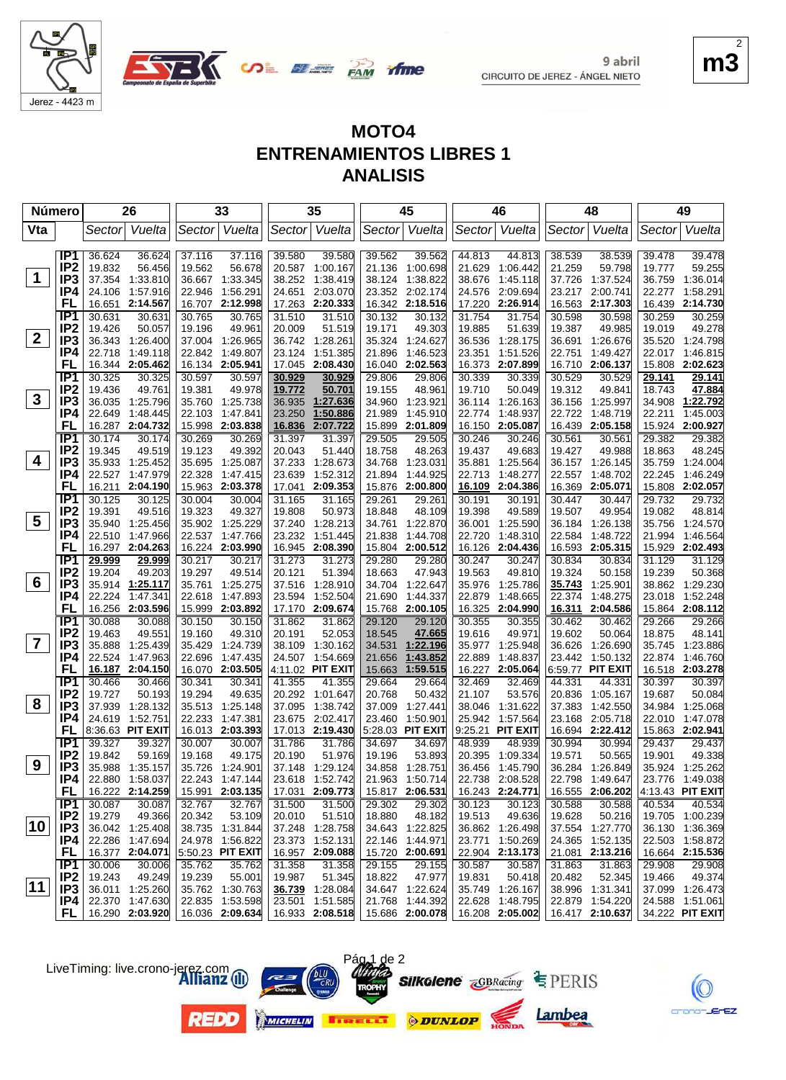



**ifme** 

**UDE BEER PAM** 

|                         | Número                 |                  | 26                        |                  | 33                          |                  | 35                        |                  | 45                        |                  | 46                        |                  | 48                        |                  | 49                          |
|-------------------------|------------------------|------------------|---------------------------|------------------|-----------------------------|------------------|---------------------------|------------------|---------------------------|------------------|---------------------------|------------------|---------------------------|------------------|-----------------------------|
| Vta                     |                        | Sector           | Vuelta                    | Sector           | Vuelta                      |                  | Sector Vuelta             |                  | Sector Vuelta             | Sector           | Vuelta                    |                  | Sector Vuelta             |                  | Sector Vuelta               |
|                         | IP1                    | 36.624           | 36.624                    | 37.116           | 37.116                      | 39.580           | 39.580                    | 39.562           | 39.562                    | 44.813           | 44.813                    | 38.539           | 38.539                    | 39.478           | 39.478                      |
|                         | IP <sub>2</sub>        | 19.832           | 56.456                    | 19.562           | 56.678                      |                  | 20.587 1:00.167           | 21.136           | 1:00.698                  | 21.629           | 1:06.442                  | 21.259           | 59.798                    | 19.777           | 59.255                      |
| 1                       | IP <sub>3</sub>        |                  | 37.354 1:33.810           | 36.667           | 1:33.345                    | 38.252           | 1:38.419                  | 38.124           | 1:38.822                  | 38.676           | 1:45.118                  | 37.726           | 1:37.524                  | 36.759           | 1:36.014                    |
|                         | IP4                    | 24.106           | 1:57.916                  | 22.946           | 1:56.291                    | 24.651           | 2:03.070                  |                  | 23.352 2:02.174           | 24.576           | 2:09.694                  | 23.217           | 2:00.741                  | 22.277           | 1:58.291                    |
|                         | FL                     | 16.651           | 2:14.567                  |                  | 16.707 2:12.998             | 17.263           | 2:20.333                  |                  | 16.342 2:18.516           | 17.220           | 2:26.914                  | 16.563           | 2:17.303                  | 16.439           | 2:14.730                    |
|                         | IP <sub>1</sub>        | 30.631           | 30.631                    | 30.765           | 30.765                      | 31.510           | 31.510                    | 30.132           | 30.132                    | 31.754           | 31.754                    | 30.598           | 30.598                    | 30.259           | 30.259                      |
|                         | IP <sub>2</sub>        | 19.426           | 50.057                    | 19.196           | 49.961                      | 20.009           | 51.519                    | 19.171           | 49.303                    | 19.885           | 51.639                    | 19.387           | 49.985                    | 19.019           | 49.278                      |
| $\mathbf{2}$            | IP3                    |                  | 36.343 1:26.400           |                  | 37.004 1:26.965             |                  | 36.742 1:28.261           | 35.324           | 1:24.627                  | 36.536           | 1:28.175                  | 36.691           | 1:26.676                  |                  | 35.520 1:24.798             |
|                         | IP4                    | 22.718           | 1:49.118                  |                  | 22.842 1:49.807             | 23.124           | 1:51.385                  | 21.896           | 1:46.523                  | 23.351           | 1:51.526                  | 22.751           | 1:49.427                  | 22.017           | 1:46.815                    |
|                         | FL                     | 16.344           | 2:05.462                  |                  | 16.134 2:05.941             | 17.045           | 2:08.430                  | 16.040           | 2:02.563                  | 16.373           | 2:07.899                  | 16.710           | 2:06.137                  | 15.808           | 2:02.623                    |
|                         | IP <sub>1</sub>        | 30.325           | 30.325                    | 30.597           | 30.597                      | 30.929           | 30.929                    | 29.806           | 29.806                    | 30.339           | 30.339                    | 30.529           | 30.529                    | 29.141           | 29.141                      |
|                         | IP <sub>2</sub>        | 19.436           | 49.761                    | 19.381           | 49.978                      | 19.772           | 50.701                    | 19.155           | 48.961                    | 19.710           | 50.049                    | 19.312           | 49.841                    | 18.743           | 47.884                      |
| 3                       | IP <sub>3</sub>        |                  | 36.035 1:25.796           |                  | 35.760 1:25.738             | 36.935           | 1:27.636                  | 34.960           | 1:23.921                  |                  | 36.114 1:26.163           |                  | 36.156 1:25.997           | 34.908           | 1:22.792                    |
|                         | IP4                    | 22.649           | 1:48.445                  | 22.103           | 1:47.841                    | 23.250           | 1:50.886                  | 21.989           | 1:45.910                  | 22.774           | 1:48.937                  | 22.722           | 1:48.719                  | 22.211           | 1:45.003                    |
|                         | FL                     |                  | 16.287 2:04.732           |                  | 15.998 2:03.838             | 16.836           | 2:07.722                  | 15.899           | 2:01.809                  | 16.150           | 2:05.087                  | 16.439           | 2:05.158                  |                  | 15.924 2:00.927             |
|                         | IP1                    | 30.174           | 30.174                    | 30.269           | 30.269                      | 31.397           | 31.397                    | 29.505           | 29.505                    | 30.246           | 30.246                    | 30.561           | 30.561                    | 29.382           | 29.382                      |
| 4                       | IP <sub>2</sub>        | 19.345           | 49.519                    | 19.123           | 49.392                      | 20.043           | 51.440                    | 18.758           | 48.263                    | 19.437           | 49.683                    | 19.427           | 49.988                    | 18.863           | 48.245                      |
|                         | IP <sub>3</sub>        | 35.933           | 1.25.452                  | 35.695           | 1:25.087                    | 37.233           | 1:28.673                  | 34.768           | 1:23.031                  | 35.881           | 1:25.564                  |                  | 36.157 1:26.145           | 35.759           | 1:24.004                    |
|                         | IP4<br>FL              | 22.527<br>16.211 | 1:47.979<br>2:04.190      | 22.328           | 1:47.415<br>15.963 2:03.378 | 23.639<br>17.041 | 1:52.312<br>2:09.353      | 21.894<br>15.876 | 1:44.925<br>2:00.800      | 22.713<br>16.109 | 1:48.277<br>2:04.386      | 22.557<br>16.369 | 1:48.702<br>2:05.071      | 22.245           | 1:46.249<br>15.808 2:02.057 |
|                         | IP <sub>1</sub>        | 30.125           | 30.125                    | 30.004           | 30.004                      | 31.165           | 31.165                    | 29.261           | 29.261                    | 30.191           | 30.191                    | 30.447           | 30.447                    | 29.732           | 29.732                      |
|                         | IP <sub>2</sub>        | 19.391           | 49.516                    | 19.323           | 49.327                      | 19.808           | 50.973                    | 18.848           | 48.109                    | 19.398           | 49.589                    | 19.507           | 49.954                    | 19.082           | 48.814                      |
| 5                       | IP <sub>3</sub>        | 35.940           | 1:25.456                  |                  | 35.902 1:25.229             | 37.240           | 1:28.213                  | 34.761           | 1:22.870                  | 36.001           | 1:25.590                  | 36.184           | 1:26.138                  | 35.756           | 1:24.570                    |
|                         | IP4                    | 22.510           | 1:47.966                  | 22.537           | 1:47.766                    | 23.232           | 1:51.445                  | 21.838           | 1:44.708                  | 22.720           | 1:48.310                  | 22.584           | 1:48.722                  | 21.994           | 1:46.564                    |
|                         | FL                     | 16.297           | 2:04.263                  |                  | 16.224 2:03.990             |                  | 16.945 2:08.390           | 15.804           | 2:00.512                  | 16.126           | 2:04.436                  | 16.593           | 2:05.315                  | 15.929           | 2:02.493                    |
|                         | IP <sub>1</sub>        | 29.999           | 29.999                    | 30.217           | 30.217                      | 31.273           | 31.273                    | 29.280           | 29.280                    | 30.247           | 30.247                    | 30.834           | 30.834                    | 31.129           | 31.129                      |
|                         | IP <sub>2</sub>        | 19.204           | 49.203                    | 19.297           | 49.514                      | 20.121           | 51.394                    | 18.663           | 47.943                    | 19.563           | 49.810                    | 19.324           | 50.158                    | 19.239           | 50.368                      |
| 6                       | IP <sub>3</sub>        | 35.914           | 1:25.117                  | 35.761           | 1:25.275                    | 37.516           | 1:28.910                  | 34.704           | 1:22.647                  | 35.976           | 1:25.786                  | 35.743           | 1:25.901                  | 38.862           | 1:29.230                    |
|                         | IP4                    | 22.224           | 1:47.341                  | 22.618           | 1:47.893                    | 23.594           | 1:52.504                  | 21.690           | 1:44.337                  | 22.879           | 1:48.665                  | 22.374           | 1:48.275                  | 23.018           | 1:52.248                    |
|                         | FL                     |                  | 16.256 2:03.596           |                  | 15.999 2:03.892             | 17.170           | 2:09.674                  | 15.768           | 2:00.105                  | 16.325           | 2:04.990                  | 16.311           | 2:04.586                  |                  | 15.864 2:08.112             |
|                         | IP1                    | 30.088           | 30.088                    | 30.150           | 30.150                      | 31.862           | 31.862                    | 29.120           | 29.120                    | 30.355           | 30.355                    | 30.462           | 30.462                    | 29.266           | 29.266                      |
| $\overline{\mathbf{r}}$ | IP <sub>2</sub>        | 19.463           | 49.551                    | 19.160           | 49.310                      | 20.191           | 52.053                    | 18.545           | 47.665                    | 19.616           | 49.971                    | 19.602           | 50.064                    | 18.875           | 48.141                      |
|                         | IP <sub>3</sub>        | 35.888           | 1:25.439                  | 35.429           | 1:24.739                    | 38.109           | 1:30.162                  | 34.531           | 1:22.196                  | 35.977           | 1:25.948                  | 36.626           | 1:26.690                  | 35.745           | 1:23.886                    |
|                         | IP4<br>FL              | 22.524           | 1:47.963                  | 22.696           | 1:47.435                    |                  | 24.507 1:54.669           | 21.656           | 1:43.852                  | 22.889           | 1:48.837                  | 23.442           | 1:50.132                  | 22.874           | 1:46.760                    |
|                         | IP1                    |                  | 16.187 2:04.150           |                  | 16.070 2:03.505             |                  | 4:11.02 PIT EXIT          | 15.663           | 1:59.515                  |                  | 16.227 2:05.064           |                  | 6:59.77 PIT EXIT          |                  | 16.518 2:03.278             |
|                         | IP <sub>2</sub>        | 30.466<br>19.727 | 30.466<br>50.193          | 30.341<br>19.294 | 30.341<br>49.635            | 41.355           | 41.355<br>20.292 1:01.647 | 29.664<br>20.768 | 29.664<br>50.432          | 32.469<br>21.107 | 32.469<br>53.576          | 44.331<br>20.836 | 44.331<br>1:05.167        | 30.397<br>19.687 | 30.397<br>50.084            |
| 8                       | IP <sub>3</sub>        |                  | 37.939 1:28.132           | 35.513           | 1:25.148                    | 37.095           | 1:38.742                  | 37.009           | 1:27.441                  | 38.046           | 1:31.622                  | 37.383           | 1:42.550                  | 34.984           | 1:25.068                    |
|                         | IP4                    |                  | 24.619 1:52.751           | 22.233           | 1:47.381                    |                  | 23.675 2:02.417           | 23.460           | 1:50.901                  | 25.942           | 1:57.564                  | 23.168           | 2:05.718                  | 22.010           | 1:47.078                    |
|                         | FL                     |                  | 8:36.63 PIT EXIT          |                  | 16.013 2:03.393             |                  | 17.013 2:19.430           |                  | 5:28.03 PIT EXIT          | 9:25.21          | <b>PIT EXIT</b>           |                  | 16.694 2:22.412           |                  | 15.863 2:02.941             |
|                         | IP <sub>1</sub>        | 39.327           | 39.327                    | 30.007           | 30.007                      | 31.786           | 31.786                    | 34.697           | 34.697                    | 48.939           | 48.939                    | 30.994           | 30.994                    | 29.437           | 29.437                      |
|                         | IP <sub>2</sub>        | 19.842           | 59.169                    | 19.168           | 49.175                      | 20.190           | 51.976                    | 19.196           | 53.893                    | 20.395           | 1:09.334                  | 19.571           | 50.565                    | 19.901           | 49.338                      |
| 9                       | IP <sub>3</sub>        |                  | 35.988 1:35.157           |                  | 35.726 1:24.901             |                  | 37.148 1:29.124           |                  | 34.858 1:28.751           |                  | 36.456 1:45.790           |                  | 36.284 1:26.849           |                  | 35.924 1:25.262             |
|                         | IP4                    |                  | 22.880 1:58.037           |                  | 22.243 1:47.144             |                  | 23.618 1:52.742           |                  | 21.963 1:50.714           |                  | 22.738 2:08.528           |                  | 22.798 1:49.647           |                  | 23.776 1:49.038             |
|                         | <b>FL</b>              |                  | 16.222 2:14.259           |                  | 15.991 2:03.135             |                  | 17.031 2:09.773           |                  | 15.817 2:06.531           |                  | 16.243 2:24.771           |                  | 16.555 2:06.202           |                  | 4:13.43 PIT EXIT            |
|                         | IP1                    | 30.087           | 30.087                    | 32.767           | 32.767                      | 31.500           | 31.500                    | 29.302           | 29.302                    | 30.123           | 30.123                    | 30.588           | 30.588                    | 40.534           | 40.534                      |
|                         | IP <sub>2</sub>        | 19.279           | 49.366                    | 20.342           | 53.109                      | 20.010           | 51.510                    | 18.880           | 48.182                    | 19.513           | 49.636                    | 19.628           | 50.216                    |                  | 19.705 1:00.239             |
| 10 <sup>1</sup>         | IP <sub>3</sub>        |                  | 36.042 1:25.408           |                  | 38.735 1:31.844             |                  | 37.248 1:28.758           |                  | 34.643 1:22.825           |                  | 36.862 1:26.498           |                  | 37.554 1:27.770           |                  | 36.130 1:36.369             |
|                         | IP4                    |                  | 22.286 1:47.694           |                  | 24.978 1:56.822             |                  | 23.373 1:52.131           |                  | 22.146 1:44.971           |                  | 23.771 1:50.269           |                  | 24.365 1:52.135           |                  | 22.503 1:58.872             |
|                         | FL                     |                  | 16.377 2:04.071           |                  | 5:50.23 PIT EXIT            |                  | 16.957 2:09.088           |                  | 15.720 2:00.691           |                  | 22.904 2:13.173           |                  | 21.081 2:13.216           |                  | 16.664 2:15.536             |
|                         | IP1                    | 30.006           | 30.006                    | 35.762           | 35.762                      | 31.358           | 31.358                    | 29.155           | 29.155                    | 30.587           | 30.587                    | 31.863           | 31.863                    | 29.908           | 29.908                      |
| 11                      | IP <sub>2</sub><br>IP3 | 19.243           | 49.249<br>36.011 1:25.260 | 19.239           | 55.001<br>35.762 1:30.763   | 19.987           | 51.345<br>36.739 1:28.084 | 18.822           | 47.977<br>34.647 1:22.624 | 19.831           | 50.418<br>35.749 1:26.167 | 20.482           | 52.345<br>38.996 1:31.341 | 19.466           | 49.374<br>37.099 1:26.473   |
|                         | IP4                    |                  | 22.370 1:47.630           |                  | 22.835 1:53.598             |                  | 23.501 1:51.585           |                  | 21.768 1:44.392           |                  | 22.628 1:48.795           |                  | 22.879 1:54.220           |                  | 24.588 1:51.061             |
|                         | FL.                    |                  | 16.290 2:03.920           |                  | 16.036 2:09.634             |                  | 16.933 2:08.518           |                  | 15.686 2:00.078           |                  | 16.208 2:05.002           |                  | 16.417 2:10.637           |                  | 34.222 PIT EXIT             |
|                         |                        |                  |                           |                  |                             |                  |                           |                  |                           |                  |                           |                  |                           |                  |                             |



ΈZ



LiveTiming: live.crono-jerez.com









Pág 1 de 2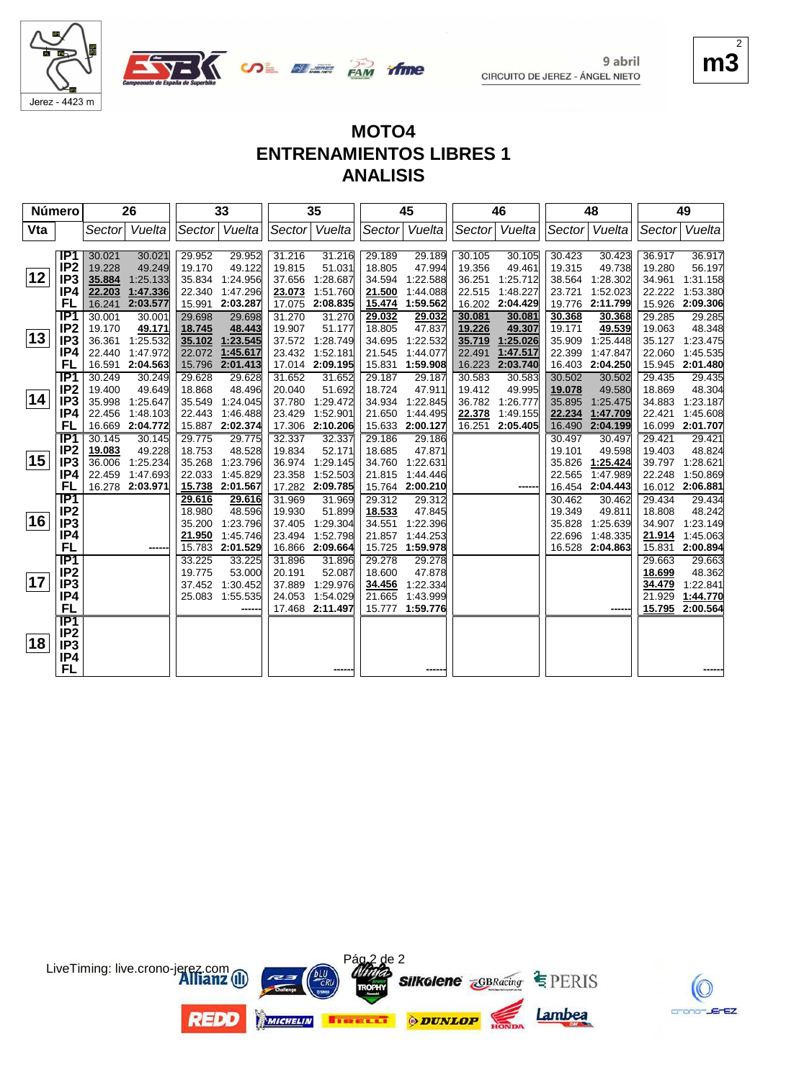





**SOL BLACK** PAM

| Número |                 |         | 26              |               | 33       |        | 35              |        | 45       |        | 46            |        | 48       |        | 49              |
|--------|-----------------|---------|-----------------|---------------|----------|--------|-----------------|--------|----------|--------|---------------|--------|----------|--------|-----------------|
| Vta    |                 | Sectorl | Vuelta          | Sector        | Vuelta   | Sector | Vuelta          | Sector | Vuelta   |        | Sector Vuelta | Sector | Vuelta   | Sector | Vuelta          |
|        |                 |         |                 |               |          |        |                 |        |          |        |               |        |          |        |                 |
|        | IP1             | 30.021  | 30.021          | 29.952        | 29.952   | 31.216 | 31.216          | 29.189 | 29.189   | 30.105 | 30.105        | 30.423 | 30.423   | 36.917 | 36.917          |
|        | IP <sub>2</sub> | 19.228  | 49.249          | 19.170        | 49.122   | 19.815 | 51.031          | 18.805 | 47.994   | 19.356 | 49.461        | 19.315 | 49.738   | 19.280 | 56.197          |
| 12     | IP <sub>3</sub> | 35.884  | 1:25.133        | 35.834        | 1:24.956 | 37.656 | 1:28.687        | 34.594 | 1:22.588 | 36.251 | 1:25.712      | 38.564 | 1:28.302 | 34.961 | 1:31.158        |
|        | IP4             | 22.203  | 1:47.336        | 22.340        | 1:47.296 | 23.073 | 1:51.760        | 21.500 | 1:44.088 | 22.515 | 1:48.227      | 23.721 | 1:52.023 | 22.222 | 1:53.380        |
|        | FL              | 16.241  | 2:03.577        | 15.991        | 2:03.287 | 17.075 | 2:08.835        | 15.474 | 1:59.562 | 16.202 | 2:04.429      | 19.776 | 2:11.799 | 15.926 | 2:09.306        |
|        | IP <sub>1</sub> | 30.001  | 30.001          | 29.698        | 29.698   | 31.270 | 31.270          | 29.032 | 29.032   | 30.081 | 30.081        | 30.368 | 30.368   | 29.285 | 29.285          |
|        | IP <sub>2</sub> | 19.170  | 49.171          | 18.745        | 48.443   | 19.907 | 51.177          | 18.805 | 47.837   | 19.226 | 49.307        | 19.171 | 49.539   | 19.063 | 48.348          |
| 13     | IP <sub>3</sub> | 36.361  | 1:25.532        | 35.102        | 1:23.545 |        | 37.572 1:28.749 | 34.695 | 1:22.532 | 35.719 | 1:25.026      | 35.909 | 1:25.448 | 35.127 | 1:23.475        |
|        | IP4             | 22.440  | 1:47.972        | 22.072        | 1:45.617 | 23.432 | 1:52.181        | 21.545 | 1:44.077 | 22.491 | 1:47.517      | 22.399 | 1:47.847 | 22.060 | 1:45.535        |
|        | FL              |         | 16.591 2:04.563 | 15.796        | 2:01.413 |        | 17.014 2:09.195 | 15.831 | 1:59.908 | 16.223 | 2:03.740      | 16.403 | 2:04.250 |        | 15.945 2:01.480 |
|        | IP <sub>1</sub> | 30.249  | 30.249          | 29.628        | 29.628   | 31.652 | 31.652          | 29.187 | 29.187   | 30.583 | 30.583        | 30.502 | 30.502   | 29.435 | 29.435          |
|        | IP <sub>2</sub> | 19.400  | 49.649          | 18.868        | 48.496   | 20.040 | 51.692          | 18.724 | 47.911   | 19.412 | 49.995        | 19.078 | 49.580   | 18.869 | 48.304          |
| 14     | IP <sub>3</sub> | 35.998  | 1:25.647        | 35.549        | 1:24.045 | 37.780 | 1:29.472        | 34.934 | 1:22.845 | 36.782 | 1:26.777      | 35.895 | 1:25.475 | 34.883 | 1:23.187        |
|        | IP4             | 22.456  | 1:48.103        | 22.443        | 1:46.488 | 23.429 | 1:52.901        | 21.650 | 1:44.495 | 22.378 | 1:49.155      | 22.234 | 1:47.709 | 22.421 | 1:45.608        |
|        | FL              |         | 16.669 2:04.772 | 15.887        | 2:02.374 | 17.306 | 2:10.206        | 15.633 | 2:00.127 | 16.251 | 2:05.405      | 16.490 | 2:04.199 | 16.099 | 2:01.707        |
|        | IP1             | 30.145  | 30.145          | 29.775        | 29.775   | 32.337 | 32.337          | 29.186 | 29.186   |        |               | 30.497 | 30.497   | 29.421 | 29.421          |
|        | IP <sub>2</sub> | 19.083  | 49.228          | 18.753        | 48.528   | 19.834 | 52.171          | 18.685 | 47.871   |        |               | 19.101 | 49.598   | 19.403 | 48.824          |
| 15     | IP <sub>3</sub> | 36.006  | 1:25.234        | 35.268        | 1:23.796 | 36.974 | 1:29.145        | 34.760 | 1:22.631 |        |               | 35.826 | 1:25.424 | 39.797 | 1:28.621        |
|        | IP4             | 22.459  | 1:47.693        | 22.033        | 1:45.829 | 23.358 | 1:52.503        | 21.815 | 1:44.446 |        |               | 22.565 | 1:47.989 | 22.248 | 1:50.869        |
|        | FL              |         | 16.278 2:03.971 | <u>15.738</u> | 2:01.567 | 17.282 | 2:09.785        | 15.764 | 2:00.210 |        |               | 16.454 | 2:04.443 | 16.012 | 2:06.881        |
|        | IP <sub>1</sub> |         |                 | 29.616        | 29.616   | 31.969 | 31.969          | 29.312 | 29.312   |        |               | 30.462 | 30.462   | 29.434 | 29.434          |
| 16     | IP <sub>2</sub> |         |                 | 18.980        | 48.596   | 19.930 | 51.899          | 18.533 | 47.845   |        |               | 19.349 | 49.811   | 18.808 | 48.242          |
|        | IP <sub>3</sub> |         |                 | 35.200        | 1:23.796 | 37.405 | 1:29.304        | 34.551 | 1:22.396 |        |               | 35.828 | 1:25.639 | 34.907 | 1:23.149        |
|        | IP4             |         |                 | 21.950        | 1:45.746 | 23.494 | 1:52.798        | 21.857 | 1:44.253 |        |               | 22.696 | 1:48.335 | 21.914 | 1:45.063        |
|        | FL              |         |                 | 15.783        | 2:01.529 | 16.866 | 2:09.664        | 15.725 | 1:59.978 |        |               | 16.528 | 2:04.863 | 15.831 | 2:00.894        |
|        | IP1             |         |                 | 33.225        | 33.225   | 31.896 | 31.896          | 29.278 | 29.278   |        |               |        |          | 29.663 | 29.663          |
| 17     | IP <sub>2</sub> |         |                 | 19.775        | 53.000   | 20.191 | 52.087          | 18.600 | 47.878   |        |               |        |          | 18.699 | 48.362          |
|        | IP <sub>3</sub> |         |                 | 37.452        | 1:30.452 | 37.889 | 1:29.976        | 34.456 | 1:22.334 |        |               |        |          | 34.479 | 1:22.841        |
|        | IP4             |         |                 | 25.083        | 1:55.535 | 24.053 | 1:54.029        | 21.665 | 1:43.999 |        |               |        |          | 21.929 | 1:44.770        |
|        | FL              |         |                 |               |          | 17.468 | 2:11.497        | 15.777 | 1:59.776 |        |               |        |          | 15.795 | 2:00.564        |
|        | IP <sub>1</sub> |         |                 |               |          |        |                 |        |          |        |               |        |          |        |                 |
| 18     | IP <sub>2</sub> |         |                 |               |          |        |                 |        |          |        |               |        |          |        |                 |
|        | IP <sub>3</sub> |         |                 |               |          |        |                 |        |          |        |               |        |          |        |                 |
|        | IP4<br>FL       |         |                 |               |          |        |                 |        |          |        |               |        |          |        |                 |
|        |                 |         |                 |               |          |        |                 |        |          |        |               |        |          |        |                 |



LiveTiming: live.crono-jerez.com

**m3** 2

crano-JErEZ

9 abril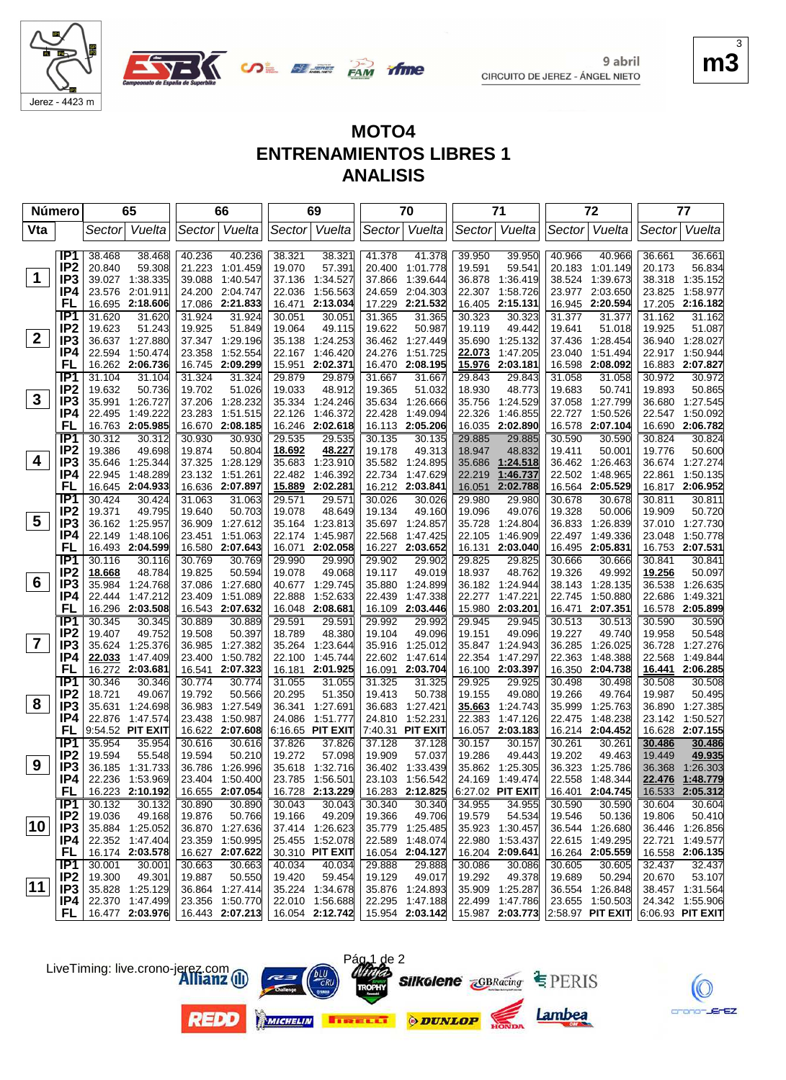



**UDE BEER PAM** 

| <b>Número</b>  |                                    |                  | 65                                 |        | 66                                 |        | 69                                 |        | 70                                 |                  | 71                        |        | 72                                 |        | 77                          |
|----------------|------------------------------------|------------------|------------------------------------|--------|------------------------------------|--------|------------------------------------|--------|------------------------------------|------------------|---------------------------|--------|------------------------------------|--------|-----------------------------|
| Vta            |                                    | Sector           | Vuelta                             | Sector | Vuelta                             |        | Sector Vuelta                      |        | Sector Vuelta                      | Sector           | Vuelta                    |        | Sector Vuelta                      |        | Sector Vuelta               |
|                | IP <sub>1</sub>                    | 38.468           | 38.468                             | 40.236 | 40.236                             | 38.321 | 38.321                             | 41.378 | 41.378                             | 39.950           | 39.950                    | 40.966 | 40.966                             | 36.661 | 36.661                      |
|                | IP <sub>2</sub>                    | 20.840           | 59.308                             | 21.223 | 1:01.459                           | 19.070 | 57.391                             | 20.400 | 1:01.778                           | 19.591           | 59.541                    | 20.183 | 1:01.149                           | 20.173 | 56.834                      |
| $\mathbf 1$    | IP3                                | 39.027           | 1:38.335                           | 39.088 | 1:40.547                           | 37.136 | 1:34.527                           | 37.866 | 1:39.644                           | 36.878           | 1:36.419                  | 38.524 | 1:39.673                           | 38.318 | 1:35.152                    |
|                | IP4                                | 23.576           | 2:01.911                           |        | 24.200 2:04.747                    | 22.036 | 1:56.563                           | 24.659 | 2:04.303                           | 22.307           | 1:58.726                  |        | 23.977 2:03.650                    | 23.825 | 1:58.977                    |
|                | FL                                 | 16.695           | 2:18.606                           |        | 17.086 2:21.833                    | 16.471 | 2:13.034                           | 17.229 | 2:21.532                           | 16.405           | 2:15.131                  | 16.945 | 2:20.594                           |        | 17.205 2:16.182             |
|                | IP <sub>1</sub>                    | 31.620           | 31.620                             | 31.924 | 31.924                             | 30.051 | 30.051                             | 31.365 | 31.365                             | 30.323           | 30.323                    | 31.377 | 31.377                             | 31.162 | 31.162                      |
|                | IP <sub>2</sub>                    | 19.623           | 51.243                             | 19.925 | 51.849                             | 19.064 | 49.115                             | 19.622 | 50.987                             | 19.119           | 49.442                    | 19.641 | 51.018                             | 19.925 | 51.087                      |
| $\mathbf{2}$   | IP3                                | 36.637           | 1:27.880                           |        | 37.347 1:29.196                    | 35.138 | 1:24.253                           | 36.462 | 1:27.449                           | 35.690           | 1:25.132                  | 37.436 | 1:28.454                           |        | 36.940 1:28.027             |
|                | IP4                                | 22.594           | 1:50.474                           | 23.358 | 1:52.554                           | 22.167 | 1:46.420                           | 24.276 | 1:51.725                           | 22.073           | 1:47.205                  | 23.040 | 1:51.494                           | 22.917 | 1:50.944                    |
|                | FL                                 |                  | 16.262 2:06.736                    |        | 16.745 2:09.299                    | 15.951 | 2:02.371                           | 16.470 | 2:08.195                           | 15.976           | 2:03.181                  | 16.598 | 2:08.092                           |        | 16.883 2:07.827             |
|                | IP1                                | 31.104           | 31.104                             | 31.324 | 31.324                             | 29.879 | 29.879                             | 31.667 | 31.667                             | 29.843           | 29.843                    | 31.058 | 31.058                             | 30.972 | 30.972                      |
|                | IP <sub>2</sub>                    | 19.632           | 50.736                             | 19.702 | 51.026                             | 19.033 | 48.912                             | 19.365 | 51.032                             | 18.930           | 48.773                    | 19.683 | 50.741                             | 19.893 | 50.865                      |
| $\mathbf{3}$   | IP <sub>3</sub>                    | 35.991           | 1:26.727                           |        | 37.206 1:28.232                    |        | 35.334 1:24.246                    | 35.634 | 1:26.666                           | 35.756           | 1:24.529                  | 37.058 | 1:27.799                           |        | 36.680 1:27.545             |
|                | IP4                                | 22.495           | 1:49.222                           | 23.283 | 1:51.515                           | 22.126 | 1:46.372                           | 22.428 | 1:49.094                           | 22.326           | 1:46.855                  | 22.727 | 1:50.526                           | 22.547 | 1:50.092                    |
|                | FL                                 |                  | 16.763 2:05.985                    |        | 16.670 2:08.185                    |        | 16.246 2:02.618                    | 16.113 | 2:05.206                           | 16.035           | 2:02.890                  | 16.578 | 2:07.104                           | 16.690 | 2:06.782                    |
|                | IP1                                | 30.312           | 30.312                             | 30.930 | 30.930                             | 29.535 | 29.535                             | 30.135 | 30.135                             | 29.885           | 29.885                    | 30.590 | 30.590                             | 30.824 | 30.824                      |
| 4              | IP <sub>2</sub>                    | 19.386           | 49.698                             | 19.874 | 50.804                             | 18.692 | 48.227                             | 19.178 | 49.313                             | 18.947           | 48.832                    | 19.411 | 50.001                             | 19.776 | 50.600                      |
|                | IP3                                | 35.646           | 1:25.344                           | 37.325 | 1:28.129                           | 35.683 | 1:23.910                           | 35.582 | 1:24.895                           | 35.686           | 1:24.518                  |        | 36.462 1:26.463                    | 36.674 | 1:27.274                    |
|                | IP4<br>FL                          | 22.945           | 1:48.289<br>16.645 2:04.933        |        | 23.132 1:51.261<br>16.636 2:07.897 | 22.482 | 1:46.392<br>15.889 2:02.281        | 22.734 | 1:47.629<br>16.212 2:03.841        | 22.219<br>16.051 | 1:46.737<br>2:02.788      |        | 22.502 1:48.965<br>16.564 2:05.529 | 22.861 | 1:50.135<br>16.817 2:06.952 |
|                | IP <sub>1</sub>                    | 30.424           | 30.424                             | 31.063 | 31.063                             | 29.571 | 29.571                             | 30.026 | 30.026                             | 29.980           | 29.980                    | 30.678 | 30.678                             | 30.811 | 30.811                      |
|                | IP <sub>2</sub>                    | 19.371           | 49.795                             | 19.640 | 50.703                             | 19.078 | 48.649                             | 19.134 | 49.160                             | 19.096           | 49.076                    | 19.328 | 50.006                             | 19.909 | 50.720                      |
| 5              | IP <sub>3</sub>                    | 36.162           | 1:25.957                           |        | 36.909 1:27.612                    |        | 35.164 1:23.813                    | 35.697 | 1:24.857                           | 35.728           | 1:24.804                  | 36.833 | 1:26.839                           | 37.010 | 1:27.730                    |
|                | IP4                                | 22.149           | 1:48.106                           | 23.451 | 1:51.063                           | 22.174 | 1:45.987                           | 22.568 | 1:47.425                           | 22.105           | 1:46.909                  | 22.497 | 1:49.336                           | 23.048 | 1:50.778                    |
|                | FL                                 |                  | 16.493 2:04.599                    |        | 16.580 2:07.643                    | 16.071 | 2:02.058                           |        | 16.227 2:03.652                    | 16.131           | 2:03.040                  |        | 16.495 2:05.831                    |        | 16.753 2:07.531             |
|                | $\overline{IP1}$                   | 30.116           | 30.116                             | 30.769 | 30.769                             | 29.990 | 29.990                             | 29.902 | 29.902                             | 29.825           | 29.825                    | 30.666 | 30.666                             | 30.841 | 30.841                      |
|                | IP <sub>2</sub>                    | 18.668           | 48.784                             | 19.825 | 50.594                             | 19.078 | 49.068                             | 19.117 | 49.019                             | 18.937           | 48.762                    | 19.326 | 49.992                             | 19.256 | 50.097                      |
| 6              | IP <sub>3</sub>                    | 35.984           | 1:24.768                           |        | 37.086 1:27.680                    |        | 40.677 1:29.745                    | 35.880 | 1:24.899                           | 36.182           | 1:24.944                  | 38.143 | 1:28.135                           | 36.538 | 1:26.635                    |
|                | IP4                                | 22.444           | 1:47.212                           | 23.409 | 1:51.089                           | 22.888 | 1:52.633                           | 22.439 | 1:47.338                           | 22.277           | 1:47.221                  | 22.745 | 1:50.880                           | 22.686 | 1:49.321                    |
|                | FL                                 |                  | 16.296 2:03.508                    |        | 16.543 2:07.632                    |        | 16.048 2:08.681                    | 16.109 | 2:03.446                           |                  | 15.980 2:03.201           | 16.471 | 2:07.351                           | 16.578 | 2:05.899                    |
|                | IP1                                | 30.345           | 30.345                             | 30.889 | 30.889                             | 29.591 | 29.591                             | 29.992 | 29.992                             | 29.945           | 29.945                    | 30.513 | 30.513                             | 30.590 | 30.590                      |
|                | IP <sub>2</sub>                    | 19.407           | 49.752                             | 19.508 | 50.397                             | 18.789 | 48.380                             | 19.104 | 49.096                             | 19.151           | 49.096                    | 19.227 | 49.740                             | 19.958 | 50.548                      |
| $\overline{7}$ | IP <sub>3</sub>                    | 35.624           | 1:25.376                           | 36.985 | 1:27.382                           | 35.264 | 1.23.644                           | 35.916 | 1:25.012                           | 35.847           | 1:24.943                  | 36.285 | 1:26.025                           | 36.728 | 1:27.276                    |
|                | IP4                                | 22.033           | 1:47.409                           | 23.400 | 1:50.782                           | 22.100 | 1:45.744                           | 22.602 | 1:47.614                           | 22.354           | 1:47.297                  | 22.363 | 1:48.388                           | 22.568 | 1:49.844                    |
|                | FL                                 |                  | 16.272 2:03.681                    |        | 16.541 2:07.323                    |        | 16.181 2:01.925                    |        | 16.091 2:03.704                    |                  | 16.100 2:03.397           | 16.350 | 2:04.738                           |        | 16.441 2:06.285             |
|                | IP1                                | 30.346           | 30.346                             | 30.774 | 30.774                             | 31.055 | 31.055                             | 31.325 | 31.325                             | 29.925           | 29.925                    | 30.498 | 30.498                             | 30.508 | 30.508                      |
|                | IP <sub>2</sub>                    | 18.721           | 49.067                             | 19.792 | 50.566                             | 20.295 | 51.350                             | 19.413 | 50.738                             | 19.155           | 49.080                    | 19.266 | 49.764                             | 19.987 | 50.495                      |
| 8              | IP <sub>3</sub>                    | 35.631           | 1:24.698                           | 36.983 | 1:27.549                           | 36.341 | 1:27.691                           | 36.683 | 1:27.421                           | 35.663           | 1:24.743                  | 35.999 | 1:25.763                           | 36.890 | 1:27.385                    |
|                | IP4                                | 22.876           | 1:47.574                           | 23.438 | 1:50.987                           | 24.086 | 1:51.777                           | 24.810 | 1:52.231                           | 22.383           | 1:47.126                  | 22.475 | 1:48.238                           | 23.142 | 1:50.527                    |
|                | FL                                 | 9:54.52 PIT EXIT |                                    |        | 16.622 2:07.608                    |        | 6:16.65 PIT EXIT                   |        | 7:40.31 PIT EXIT                   |                  | 16.057 2:03.183           |        | 16.214 2:04.452                    |        | 16.628 2:07.155             |
|                | IP <sub>1</sub>                    | 35.954           | 35.954                             | 30.616 | 30.616                             | 37.826 | 37.826                             | 37.128 | 37.128                             | 30.157           | 30.157                    | 30.261 | 30.261                             | 30.486 | 30.486                      |
| 9              | IP <sub>2</sub><br>IP <sub>3</sub> | 19.594           | 55.548                             | 19.594 | 50.210                             | 19.272 | 57.098                             | 19.909 | 57.037                             | 19.286           | 49.443<br>35.862 1:25.305 | 19.202 | 49.463                             | 19.449 | 49.935                      |
|                | IP4                                |                  | 36.185 1:31.733                    |        | 36.786 1:26.996<br>23.404 1:50.400 |        | 35.618 1:32.716<br>23.785 1:56.501 |        | 36.402 1:33.439<br>23.103 1:56.542 |                  | 24.169 1:49.474           |        | 36.323 1:25.786                    | 36.368 | 1:26.303<br>22.476 1:48.779 |
|                | <b>FL</b>                          |                  | 22.236 1:53.969<br>16.223 2:10.192 |        | 16.655 2:07.054                    |        | 16.728 2:13.229                    |        | 16.283 2:12.825                    |                  | $6:27.02$ PIT EXIT        |        | 22.558 1:48.344<br>16.401 2:04.745 |        | 16.533 2:05.312             |
|                | IP1                                | 30.132           | 30.132                             | 30.890 | 30.890                             | 30.043 | 30.043                             | 30.340 | 30.340                             | 34.955           | 34.955                    | 30.590 | 30.590                             | 30.604 | 30.604                      |
|                | IP <sub>2</sub>                    | 19.036           | 49.168                             | 19.876 | 50.766                             | 19.166 | 49.209                             | 19.366 | 49.706                             | 19.579           | 54.534                    | 19.546 | 50.136                             | 19.806 | 50.410                      |
| 10             | IP <sub>3</sub>                    |                  | 35.884 1:25.052                    |        | 36.870 1:27.636                    |        | 37.414 1:26.623                    |        | 35.779 1:25.485                    |                  | 35.923 1:30.457           |        | 36.544 1:26.680                    |        | 36.446 1:26.856             |
|                | IP4                                |                  | 22.352 1:47.404                    |        | 23.359 1:50.995                    |        | 25.455 1:52.078                    | 22.589 | 1:48.074                           |                  | 22.980 1:53.437           |        | 22.615 1:49.295                    | 22.721 | 1:49.577                    |
|                | <b>FL</b>                          |                  | 16.174 2:03.578                    |        | 16.627 2:07.622                    |        | 30.310 PIT EXIT                    |        | 16.054 2:04.127                    |                  | 16.204 2:09.641           |        | 16.264 2:05.559                    |        | 16.558 2:06.135             |
|                | TP <sub>1</sub>                    | 30.001           | 30.001                             | 30.663 | 30.663                             | 40.034 | 40.034                             | 29.888 | 29.888                             | 30.086           | 30.086                    | 30.605 | 30.605                             | 32.437 | 32.437                      |
|                | IP <sub>2</sub>                    | 19.300           | 49.301                             | 19.887 | 50.550                             | 19.420 | 59.454                             | 19.129 | 49.017                             | 19.292           | 49.378                    | 19.689 | 50.294                             | 20.670 | 53.107                      |
| 11             | IP3                                |                  | 35.828 1:25.129                    |        | 36.864 1:27.414                    |        | 35.224 1:34.678                    |        | 35.876 1:24.893                    |                  | 35.909 1:25.287           |        | 36.554 1:26.848                    |        | 38.457 1:31.564             |
|                | IP4                                |                  | 22.370 1:47.499                    |        | 23.356 1:50.770                    |        | 22.010 1:56.688                    |        | 22.295 1:47.188                    |                  | 22.499 1:47.786           |        | 23.655 1:50.503                    |        | 24.342 1:55.906             |
|                | FL.                                |                  | 16.477 2:03.976                    |        | 16.443 2:07.213                    |        | 16.054 2:12.742                    |        | 15.954 2:03.142 15.987 2:03.773    |                  |                           |        | $2:58.97$ PIT EXIT                 |        | $ 6:06.93$ PIT EXIT         |
|                |                                    |                  |                                    |        |                                    |        |                                    |        |                                    |                  |                           |        |                                    |        |                             |



ΈZ

crono

Lambea











 $m$ 3 3

9 abril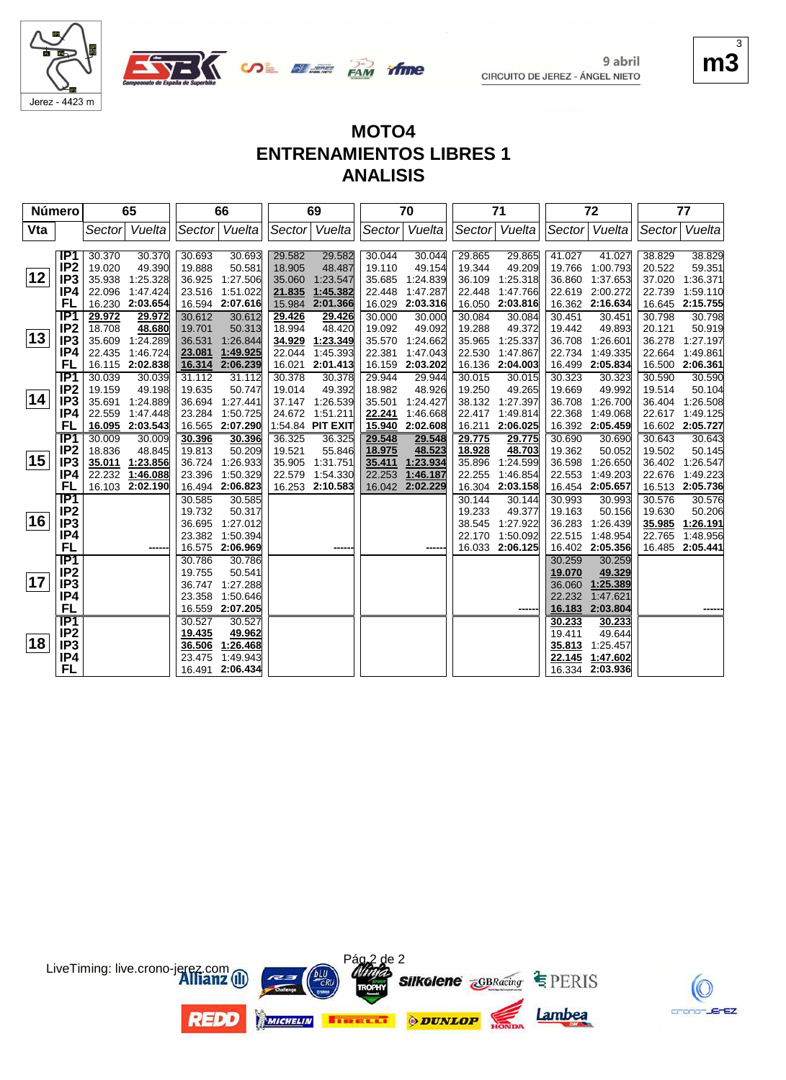



*ifme* 

**UDE BEER PAM** 

| Número |                  |        | 65                        |                  | 66                 |                  | 69                 |                  | 70                 |                  | 71               |                  | 72                 |        | 77                        |
|--------|------------------|--------|---------------------------|------------------|--------------------|------------------|--------------------|------------------|--------------------|------------------|------------------|------------------|--------------------|--------|---------------------------|
| Vta    |                  | Sector | Vuelta                    |                  | Sector Vuelta      |                  | Sector Vuelta      | Sector           | Vuelta             | Sector           | Vuelta           | Sector           | Vuelta             | Sector | Vuelta                    |
|        |                  |        |                           |                  |                    |                  |                    |                  |                    |                  |                  |                  |                    |        |                           |
|        | IP1              | 30.370 | 30.370                    | 30.693           | 30.693             | 29.582           | 29.582             | 30.044           | 30.044             | 29.865           | 29.865           | 41.027           | 41.027             | 38.829 | 38.829                    |
|        | IP <sub>2</sub>  | 19.020 | 49.390                    | 19.888           | 50.581             | 18.905           | 48.487             | 19.110           | 49.154             | 19.344           | 49.209           |                  | 19.766 1:00.793    | 20.522 | 59.351                    |
| 12     | IP <sub>3</sub>  | 35.938 | 1:25.328                  | 36.925           | 1:27.506           | 35.060           | 1:23.547           | 35.685           | 1:24.839           | 36.109           | 1:25.318         | 36.860           | 1:37.653           | 37.020 | 1:36.371                  |
|        | IP4              |        | 22.096 1:47.424           | 23.516           | 1:51.022           | 21.835           | 1:45.382           | 22.448           | 1:47.287           | 22.448           | 1:47.766         | 22.619           | 2:00.272           | 22.739 | 1:59.110                  |
|        | FL               |        | 16.230 2:03.654           |                  | 16.594 2:07.616    | 15.984           | 2:01.366           | 16.029           | 2:03.316           | 16.050           | 2:03.816         | 16.362           | 2:16.634           | 16.645 | 2:15.755                  |
|        | IP <sub>1</sub>  | 29.972 | 29.972                    | 30.612           | 30.612             | 29.426           | 29.426             | 30.000           | 30.000             | 30.084           | 30.084           | 30.451           | 30.451             | 30.798 | 30.798                    |
| 13     | IP <sub>2</sub>  | 18.708 | 48.680                    | 19.701           | 50.313             | 18.994           | 48.420             | 19.092           | 49.092             | 19.288           | 49.372           | 19.442           | 49.893             | 20.121 | 50.919                    |
|        | IP <sub>3</sub>  | 35.609 | 1:24.289                  | 36.531           | 1:26.844           | 34.929           | 1:23.349           | 35.570           | 1:24.662           | 35.965           | 1:25.337         |                  | 36.708 1:26.601    | 36.278 | 1:27.197                  |
|        | IP4              | 22.435 | 1:46.724                  | 23.081           | 1:49.925           | 22.044           | 1:45.393           | 22.381           | 1:47.043           | 22.530           | 1:47.867         | 22.734           | 1:49.335           | 22.664 | 1:49.861                  |
|        | FL<br>IP1        | 30.039 | 16.115 2:02.838<br>30.039 | 16.314           | 2:06.239<br>31.112 | 16.021<br>30.378 | 2:01.413<br>30.378 | 16.159<br>29.944 | 2:03.202<br>29.944 | 16.136<br>30.015 | 2:04.003         | 16.499<br>30.323 | 2:05.834<br>30.323 | 30.590 | 16.500 2:06.361<br>30.590 |
|        | IP <sub>2</sub>  | 19.159 | 49.198                    | 31.112<br>19.635 | 50.747             | 19.014           | 49.392             | 18.982           | 48.926             | 19.250           | 30.015<br>49.265 | 19.669           | 49.992             | 19.514 | 50.104                    |
| 14     | IP <sub>3</sub>  | 35.691 | 1:24.889                  | 36.694           | 1:27.441           |                  | 37.147 1:26.539    | 35.501           | 1:24.427           | 38.132           | 1:27.397         | 36.708           | 1:26.700           | 36.404 | 1:26.508                  |
|        | IP4              | 22.559 | 1:47.448                  | 23.284           | 1:50.725           |                  | 24.672 1:51.211    | 22.241           | 1:46.668           | 22.417           | 1:49.814         | 22.368           | 1:49.068           | 22.617 | 1:49.125                  |
|        | FL               |        | 16.095 2:03.543           |                  | 16.565 2:07.290    |                  | 1:54.84 PIT EXIT   | 15.940           | 2:02.608           | 16.211           | 2:06.025         |                  | 16.392 2:05.459    |        | 16.602 2:05.727           |
|        | IP1              | 30.009 | 30.009                    | 30.396           | 30.396             | 36.325           | 36.325             | 29.548           | 29.548             | 29.775           | 29.775           | 30.690           | 30.690             | 30.643 | 30.643                    |
|        | IP <sub>2</sub>  | 18.836 | 48.845                    | 19.813           | 50.209             | 19.521           | 55.846             | 18.975           | 48.523             | 18.928           | 48.703           | 19.362           | 50.052             | 19.502 | 50.145                    |
| 15     | IP <sub>3</sub>  |        | 35.011 1:23.856           | 36.724           | 1:26.933           | 35.905           | 1:31.751           | 35.411           | 1:23.934           | 35.896           | 1:24.599         |                  | 36.598 1:26.650    |        | 36.402 1:26.547           |
|        | IP4              | 22.232 | 1:46.088                  | 23.396           | 1:50.329           | 22.579           | 1:54.330           | 22.253           | 1:46.187           | 22.255           | 1:46.854         | 22.553           | 1:49.203           | 22.676 | 1:49.223                  |
|        | FL               |        | 16.103 2:02.190           |                  | 16.494 2:06.823    | 16.253           | 2:10.583           | 16.042           | 2:02.229           | 16.304           | 2:03.158         |                  | 16.454 2:05.657    | 16.513 | 2:05.736                  |
|        | $\overline{IP1}$ |        |                           | 30.585           | 30.585             |                  |                    |                  |                    | 30.144           | 30.144           | 30.993           | 30.993             | 30.576 | 30.576                    |
|        | IP <sub>2</sub>  |        |                           | 19.732           | 50.317             |                  |                    |                  |                    | 19.233           | 49.377           | 19.163           | 50.156             | 19.630 | 50.206                    |
| 16     | IP <sub>3</sub>  |        |                           | 36.695           | 1:27.012           |                  |                    |                  |                    | 38.545           | 1:27.922         | 36.283           | 1:26.439           | 35.985 | 1:26.191                  |
|        | IP4              |        |                           | 23.382           | 1:50.394           |                  |                    |                  |                    | 22.170           | 1:50.092         | 22.515           | 1:48.954           | 22.765 | 1:48.956                  |
|        | <b>FL</b>        |        | -----                     |                  | 16.575 2:06.969    |                  |                    |                  |                    | 16.033           | 2:06.125         | 16.402           | 2:05.356           |        | 16.485 2:05.441           |
|        | IP1              |        |                           | 30.786           | 30.786             |                  |                    |                  |                    |                  |                  | 30.259           | 30.259             |        |                           |
|        | IP <sub>2</sub>  |        |                           | 19.755           | 50.541             |                  |                    |                  |                    |                  |                  | 19.070           | 49.329             |        |                           |
| 17     | IP <sub>3</sub>  |        |                           | 36.747           | 1:27.288           |                  |                    |                  |                    |                  |                  | 36.060           | 1:25.389           |        |                           |
|        | IP4              |        |                           | 23.358           | 1:50.646           |                  |                    |                  |                    |                  |                  | 22.232           | 1:47.621           |        |                           |
|        | FL               |        |                           |                  | 16.559 2:07.205    |                  |                    |                  |                    |                  |                  | 16.183           | 2:03.804           |        |                           |
|        | IP <sub>1</sub>  |        |                           | 30.527           | 30.527             |                  |                    |                  |                    |                  |                  | 30.233           | 30.233             |        |                           |
|        | IP <sub>2</sub>  |        |                           | 19.435           | 49.962             |                  |                    |                  |                    |                  |                  | 19.411           | 49.644             |        |                           |
| 18     | IP3              |        |                           | 36.506           | 1:26.468           |                  |                    |                  |                    |                  |                  | 35.813           | 1:25.457           |        |                           |
|        | IP4              |        |                           | 23.475           | 1:49.943           |                  |                    |                  |                    |                  |                  | 22.145           | 1:47.602           |        |                           |
|        | <b>FL</b>        |        |                           |                  | 16.491 2:06.434    |                  |                    |                  |                    |                  |                  |                  | 16.334 2:03.936    |        |                           |



 $m<sup>3</sup>$ 3

crano-JErEZ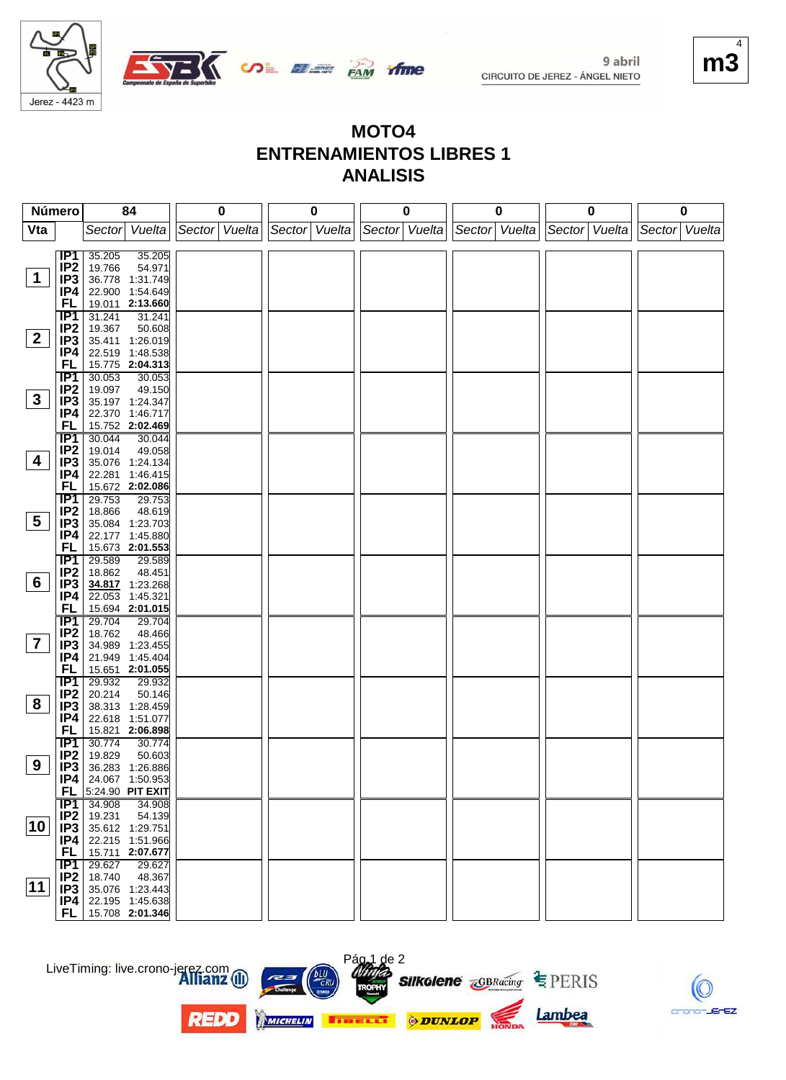



**MOTO4 ENTRENAMIENTOS LIBRES 1 ANALISIS**

*ifme* 

| Número                  |                        | 84                                                | 0             | 0             | 0             | 0             | 0             | 0             |
|-------------------------|------------------------|---------------------------------------------------|---------------|---------------|---------------|---------------|---------------|---------------|
| Vta                     |                        | Sector Vuelta                                     | Sector Vuelta | Sector Vuelta | Sector Vuelta | Sector Vuelta | Sector Vuelta | Sector Vuelta |
|                         |                        |                                                   |               |               |               |               |               |               |
|                         | IP1<br>IP <sub>2</sub> | 35.205<br>35.205<br>19.766<br>54.971              |               |               |               |               |               |               |
| $\mathbf 1$             | IP <sub>3</sub>        | 36.778 1:31.749                                   |               |               |               |               |               |               |
|                         | IP4                    | 22.900 1:54.649                                   |               |               |               |               |               |               |
|                         | FL                     | 19.011 2:13.660                                   |               |               |               |               |               |               |
|                         | $\overline{IP1}$       | 31.241<br>31.241                                  |               |               |               |               |               |               |
|                         | IP <sub>2</sub>        | 19.367<br>50.608                                  |               |               |               |               |               |               |
| 2 <sup>1</sup>          | IP3                    | 35.411 1:26.019                                   |               |               |               |               |               |               |
|                         | IP4                    | 22.519 1:48.538                                   |               |               |               |               |               |               |
|                         | FL                     | 15.775 2:04.313                                   |               |               |               |               |               |               |
|                         | IP1<br>IP <sub>2</sub> | 30.053<br>30.053<br>49.150<br>19.097              |               |               |               |               |               |               |
| $\mathbf{3}$            | IP3                    | 35.197 1:24.347                                   |               |               |               |               |               |               |
|                         | IP4                    | 22.370 1:46.717                                   |               |               |               |               |               |               |
|                         | <b>FL</b>              | 15.752 2:02.469                                   |               |               |               |               |               |               |
|                         | IP1                    | 30.044<br>30.044                                  |               |               |               |               |               |               |
|                         | IP <sub>2</sub>        | 49.058<br>19.014                                  |               |               |               |               |               |               |
| 4                       | IP3                    | 35.076 1:24.134                                   |               |               |               |               |               |               |
|                         | IP4<br><b>FL</b>       | 22.281 1:46.415<br>15.672 2:02.086                |               |               |               |               |               |               |
|                         | IP1                    | 29.753<br>29.753                                  |               |               |               |               |               |               |
|                         | IP <sub>2</sub>        | 18.866<br>48.619                                  |               |               |               |               |               |               |
| $5\overline{)}$         | IP3                    | 35.084 1:23.703                                   |               |               |               |               |               |               |
|                         | IP4                    | 22.177 1:45.880                                   |               |               |               |               |               |               |
|                         | FL                     | 15.673 2:01.553                                   |               |               |               |               |               |               |
|                         | IP1                    | 29.589<br>29.589                                  |               |               |               |               |               |               |
| 6                       | IP <sub>2</sub>        | 18.862<br>48.451                                  |               |               |               |               |               |               |
|                         | IP <sub>3</sub><br>IP4 | 34.817 1:23.268<br>22.053 1:45.321                |               |               |               |               |               |               |
|                         | <b>FL</b>              | 15.694 2:01.015                                   |               |               |               |               |               |               |
|                         | $\overline{IP1}$       | 29.704<br>29.704                                  |               |               |               |               |               |               |
|                         | IP <sub>2</sub>        | 18.762<br>48.466                                  |               |               |               |               |               |               |
| $\overline{\mathbf{7}}$ | IP <sub>3</sub>        | 34.989 1:23.455                                   |               |               |               |               |               |               |
|                         | IP4                    | 21.949 1:45.404                                   |               |               |               |               |               |               |
|                         | <b>FL</b>              | 15.651 2:01.055                                   |               |               |               |               |               |               |
|                         | IP1                    | 29.932<br>29.932<br>20.214                        |               |               |               |               |               |               |
| 8                       | IP <sub>2</sub><br>IP3 | 50.146<br>38.313 1:28.459                         |               |               |               |               |               |               |
|                         | IP4                    | 22.618 1:51.077                                   |               |               |               |               |               |               |
|                         | FL                     | 15.821 2:06.898                                   |               |               |               |               |               |               |
|                         | IP1                    | 30.774<br>30.774                                  |               |               |               |               |               |               |
|                         | IP <sub>2</sub>        | 19.829<br>50.603                                  |               |               |               |               |               |               |
| 9                       | IP3                    | 36.283 1:26.886                                   |               |               |               |               |               |               |
|                         | P4                     | 24.067 1:50.953                                   |               |               |               |               |               |               |
|                         | $\overline{IP1}$       | <b>FL</b> $ 5:24.90$ PIT EXIT<br>34.908<br>34.908 |               |               |               |               |               |               |
|                         | IP2                    | 19.231<br>54.139                                  |               |               |               |               |               |               |
| 10                      | IP3                    | 35.612 1:29.751                                   |               |               |               |               |               |               |
|                         | P4                     | 22.215 1:51.966                                   |               |               |               |               |               |               |
|                         | <b>FL</b>              | 15.711 2:07.677                                   |               |               |               |               |               |               |
|                         |                        | $IP1$ 29.627<br>29.627                            |               |               |               |               |               |               |
| 11                      | IP2                    | 18.740<br>48.367<br>35.076 1:23.443               |               |               |               |               |               |               |
|                         | IP3<br> P4             | 22.195 1:45.638                                   |               |               |               |               |               |               |
|                         |                        | FL 15.708 2:01.346                                |               |               |               |               |               |               |
|                         |                        |                                                   |               |               |               |               |               |               |

LiveTiming: live.crono-jerez.com











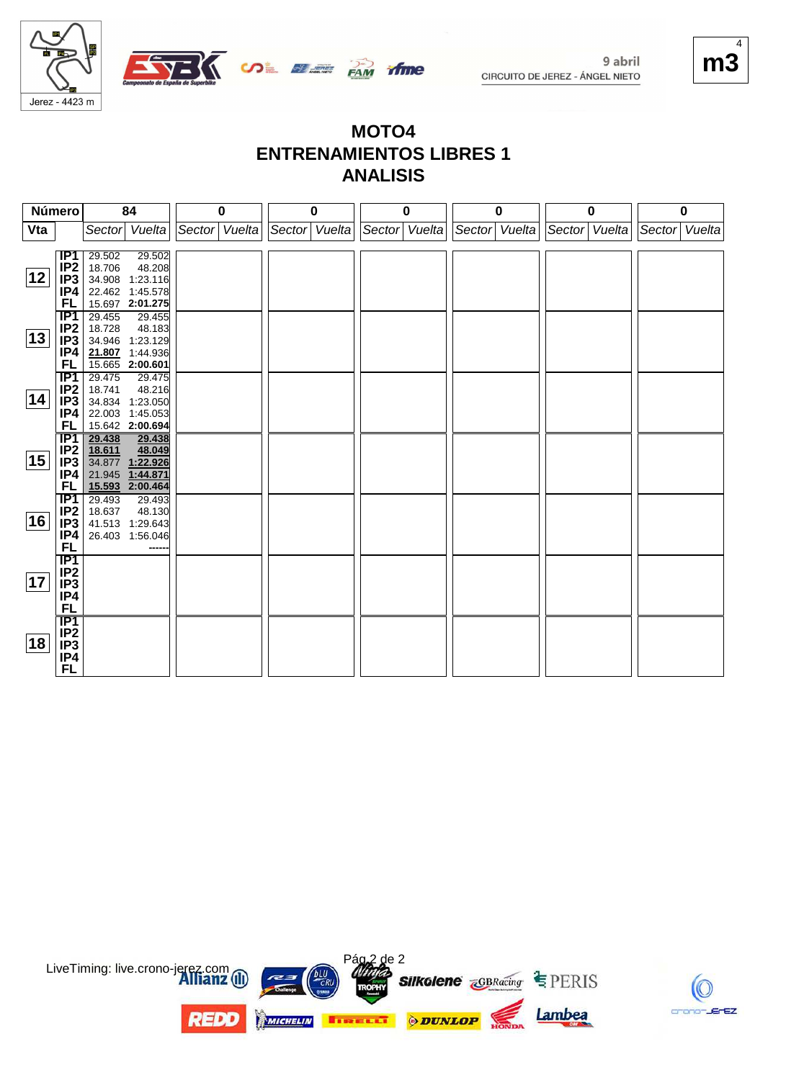

#### $m$  $\tilde{ }$ 4

#### **MOTO4 ENTRENAMIENTOS LIBRES 1 ANALISIS**

ifme

| Número |                        |                  | 84                                 |               | 0 |                 | 0 |        | 0      | $\bf{0}$      |               | 0 |               | 0 |
|--------|------------------------|------------------|------------------------------------|---------------|---|-----------------|---|--------|--------|---------------|---------------|---|---------------|---|
| Vta    |                        | Sector           | Vuelta                             | Sector Vuelta |   | Sector   Vuelta |   | Sector | Vuelta | Sector Vuelta | Sector Vuelta |   | Sector Vuelta |   |
|        |                        |                  |                                    |               |   |                 |   |        |        |               |               |   |               |   |
|        | IP1                    | 29.502           | 29.502                             |               |   |                 |   |        |        |               |               |   |               |   |
| 12     | IP <sub>2</sub>        | 18.706           | 48.208                             |               |   |                 |   |        |        |               |               |   |               |   |
|        | IP <sub>3</sub><br>IP4 | 34.908           | 1:23.116                           |               |   |                 |   |        |        |               |               |   |               |   |
|        | FL                     |                  | 22.462 1:45.578<br>15.697 2:01.275 |               |   |                 |   |        |        |               |               |   |               |   |
|        | IP1                    | 29.455           | 29.455                             |               |   |                 |   |        |        |               |               |   |               |   |
|        | IP <sub>2</sub>        | 18.728           | 48.183                             |               |   |                 |   |        |        |               |               |   |               |   |
| 13     | IP <sub>3</sub>        | 34.946           | 1:23.129                           |               |   |                 |   |        |        |               |               |   |               |   |
|        | IP4                    |                  | 21.807 1:44.936                    |               |   |                 |   |        |        |               |               |   |               |   |
|        | FL                     |                  | 15.665 2:00.601                    |               |   |                 |   |        |        |               |               |   |               |   |
|        | $\overline{IP1}$       | 29.475           | 29.475                             |               |   |                 |   |        |        |               |               |   |               |   |
|        | IP <sub>2</sub>        | 18.741           | 48.216                             |               |   |                 |   |        |        |               |               |   |               |   |
| 14     | IP3                    | 34.834           | 1:23.050                           |               |   |                 |   |        |        |               |               |   |               |   |
|        | IP4                    | 22.003           | 1:45.053                           |               |   |                 |   |        |        |               |               |   |               |   |
|        | FL                     |                  | 15.642 2:00.694                    |               |   |                 |   |        |        |               |               |   |               |   |
|        | IP1                    | 29.438           | 29.438                             |               |   |                 |   |        |        |               |               |   |               |   |
|        | IP <sub>2</sub>        | 18.611           | 48.049                             |               |   |                 |   |        |        |               |               |   |               |   |
| 15     | IP <sub>3</sub>        |                  | 34.877 1:22.926                    |               |   |                 |   |        |        |               |               |   |               |   |
|        | IP4                    | 21.945           | 1:44.871                           |               |   |                 |   |        |        |               |               |   |               |   |
|        | FL                     |                  | 15.593 2:00.464                    |               |   |                 |   |        |        |               |               |   |               |   |
|        | IP1                    | 29.493           | 29.493                             |               |   |                 |   |        |        |               |               |   |               |   |
| 16     | IP <sub>2</sub>        | 18.637           | 48.130                             |               |   |                 |   |        |        |               |               |   |               |   |
|        | IP <sub>3</sub><br>IP4 | 41.513<br>26.403 | 1:29.643<br>1:56.046               |               |   |                 |   |        |        |               |               |   |               |   |
|        | FL                     |                  |                                    |               |   |                 |   |        |        |               |               |   |               |   |
|        | $\overline{IP1}$       |                  |                                    |               |   |                 |   |        |        |               |               |   |               |   |
|        | IP <sub>2</sub>        |                  |                                    |               |   |                 |   |        |        |               |               |   |               |   |
| 17     | IP <sub>3</sub>        |                  |                                    |               |   |                 |   |        |        |               |               |   |               |   |
|        | IP4                    |                  |                                    |               |   |                 |   |        |        |               |               |   |               |   |
|        | <b>FL</b>              |                  |                                    |               |   |                 |   |        |        |               |               |   |               |   |
|        | IP1                    |                  |                                    |               |   |                 |   |        |        |               |               |   |               |   |
|        | IP <sub>2</sub>        |                  |                                    |               |   |                 |   |        |        |               |               |   |               |   |
| 18     | IP <sub>3</sub>        |                  |                                    |               |   |                 |   |        |        |               |               |   |               |   |
|        | IP4                    |                  |                                    |               |   |                 |   |        |        |               |               |   |               |   |
|        | <b>FL</b>              |                  |                                    |               |   |                 |   |        |        |               |               |   |               |   |



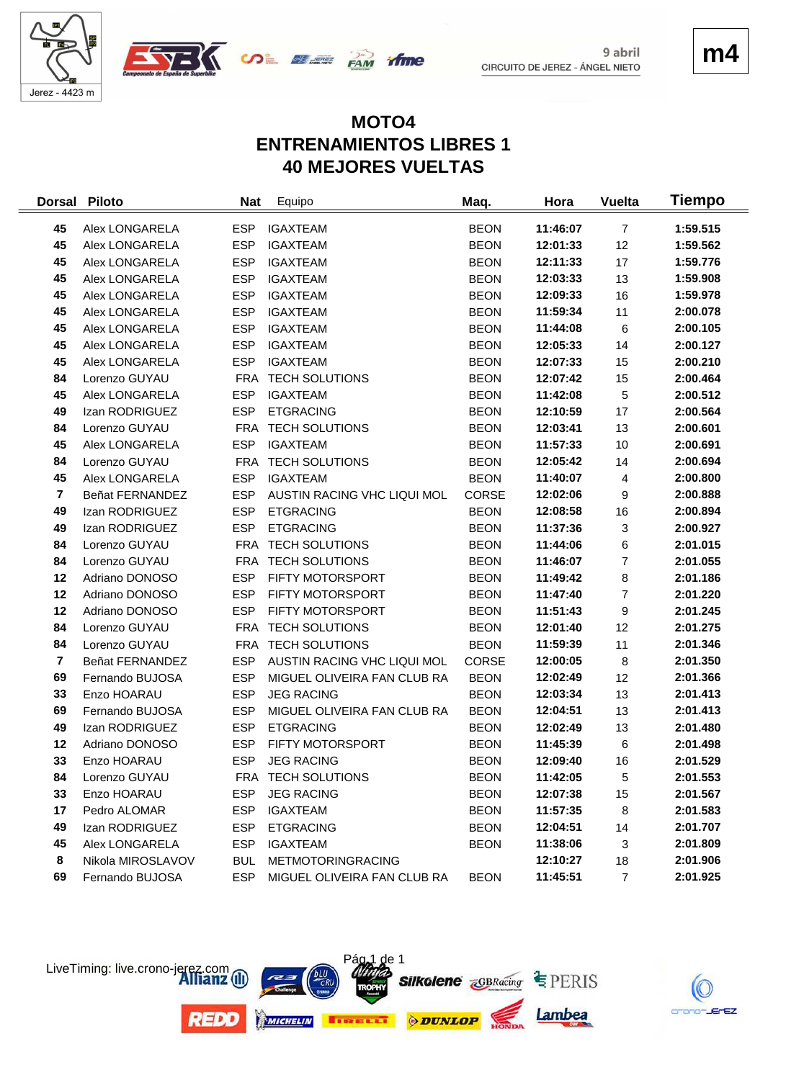





### **MOTO4 ENTRENAMIENTOS LIBRES 1 40 MEJORES VUELTAS**

time

| <b>Dorsal</b>           | <b>Piloto</b>     | <b>Nat</b> | Equipo                      | Maq.         | Hora     | <b>Vuelta</b>  | Tiempo   |
|-------------------------|-------------------|------------|-----------------------------|--------------|----------|----------------|----------|
| 45                      | Alex LONGARELA    | <b>ESP</b> | <b>IGAXTEAM</b>             | <b>BEON</b>  | 11:46:07 | $\overline{7}$ | 1:59.515 |
| 45                      | Alex LONGARELA    | <b>ESP</b> | <b>IGAXTEAM</b>             | <b>BEON</b>  | 12:01:33 | 12             | 1:59.562 |
| 45                      | Alex LONGARELA    | <b>ESP</b> | <b>IGAXTEAM</b>             | <b>BEON</b>  | 12:11:33 | 17             | 1:59.776 |
| 45                      | Alex LONGARELA    | <b>ESP</b> | <b>IGAXTEAM</b>             | <b>BEON</b>  | 12:03:33 | 13             | 1:59.908 |
| 45                      | Alex LONGARELA    | <b>ESP</b> | <b>IGAXTEAM</b>             | <b>BEON</b>  | 12:09:33 | 16             | 1:59.978 |
| 45                      | Alex LONGARELA    | <b>ESP</b> | <b>IGAXTEAM</b>             | <b>BEON</b>  | 11:59:34 | 11             | 2:00.078 |
| 45                      | Alex LONGARELA    | <b>ESP</b> | <b>IGAXTEAM</b>             | <b>BEON</b>  | 11:44:08 | 6              | 2:00.105 |
| 45                      | Alex LONGARELA    | <b>ESP</b> | <b>IGAXTEAM</b>             | <b>BEON</b>  | 12:05:33 | 14             | 2:00.127 |
| 45                      | Alex LONGARELA    | <b>ESP</b> | <b>IGAXTEAM</b>             | <b>BEON</b>  | 12:07:33 | 15             | 2:00.210 |
| 84                      | Lorenzo GUYAU     | FRA        | <b>TECH SOLUTIONS</b>       | <b>BEON</b>  | 12:07:42 | 15             | 2:00.464 |
| 45                      | Alex LONGARELA    | <b>ESP</b> | <b>IGAXTEAM</b>             | <b>BEON</b>  | 11:42:08 | 5              | 2:00.512 |
| 49                      | Izan RODRIGUEZ    | <b>ESP</b> | <b>ETGRACING</b>            | <b>BEON</b>  | 12:10:59 | 17             | 2:00.564 |
| 84                      | Lorenzo GUYAU     | <b>FRA</b> | <b>TECH SOLUTIONS</b>       | <b>BEON</b>  | 12:03:41 | 13             | 2:00.601 |
| 45                      | Alex LONGARELA    | <b>ESP</b> | <b>IGAXTEAM</b>             | <b>BEON</b>  | 11:57:33 | 10             | 2:00.691 |
| 84                      | Lorenzo GUYAU     | FRA        | <b>TECH SOLUTIONS</b>       | <b>BEON</b>  | 12:05:42 | 14             | 2:00.694 |
| 45                      | Alex LONGARELA    | <b>ESP</b> | <b>IGAXTEAM</b>             | <b>BEON</b>  | 11:40:07 | 4              | 2:00.800 |
| $\overline{\mathbf{r}}$ | Beñat FERNANDEZ   | <b>ESP</b> | AUSTIN RACING VHC LIQUI MOL | <b>CORSE</b> | 12:02:06 | 9              | 2:00.888 |
| 49                      | Izan RODRIGUEZ    | <b>ESP</b> | <b>ETGRACING</b>            | <b>BEON</b>  | 12:08:58 | 16             | 2:00.894 |
| 49                      | Izan RODRIGUEZ    | <b>ESP</b> | <b>ETGRACING</b>            | <b>BEON</b>  | 11:37:36 | 3              | 2:00.927 |
| 84                      | Lorenzo GUYAU     |            | FRA TECH SOLUTIONS          | <b>BEON</b>  | 11:44:06 | 6              | 2:01.015 |
| 84                      | Lorenzo GUYAU     |            | FRA TECH SOLUTIONS          | <b>BEON</b>  | 11:46:07 | $\overline{7}$ | 2:01.055 |
| 12                      | Adriano DONOSO    | <b>ESP</b> | FIFTY MOTORSPORT            | <b>BEON</b>  | 11:49:42 | 8              | 2:01.186 |
| 12                      | Adriano DONOSO    | <b>ESP</b> | FIFTY MOTORSPORT            | <b>BEON</b>  | 11:47:40 | $\overline{7}$ | 2:01.220 |
| 12                      | Adriano DONOSO    | <b>ESP</b> | FIFTY MOTORSPORT            | <b>BEON</b>  | 11:51:43 | 9              | 2:01.245 |
| 84                      | Lorenzo GUYAU     | <b>FRA</b> | <b>TECH SOLUTIONS</b>       | <b>BEON</b>  | 12:01:40 | 12             | 2:01.275 |
| 84                      | Lorenzo GUYAU     | <b>FRA</b> | <b>TECH SOLUTIONS</b>       | <b>BEON</b>  | 11:59:39 | 11             | 2:01.346 |
| $\overline{7}$          | Beñat FERNANDEZ   | <b>ESP</b> | AUSTIN RACING VHC LIQUI MOL | <b>CORSE</b> | 12:00:05 | 8              | 2:01.350 |
| 69                      | Fernando BUJOSA   | <b>ESP</b> | MIGUEL OLIVEIRA FAN CLUB RA | <b>BEON</b>  | 12:02:49 | 12             | 2:01.366 |
| 33                      | Enzo HOARAU       | <b>ESP</b> | <b>JEG RACING</b>           | <b>BEON</b>  | 12:03:34 | 13             | 2:01.413 |
| 69                      | Fernando BUJOSA   | <b>ESP</b> | MIGUEL OLIVEIRA FAN CLUB RA | <b>BEON</b>  | 12:04:51 | 13             | 2:01.413 |
| 49                      | Izan RODRIGUEZ    | <b>ESP</b> | <b>ETGRACING</b>            | <b>BEON</b>  | 12:02:49 | 13             | 2:01.480 |
| 12                      | Adriano DONOSO    | <b>ESP</b> | FIFTY MOTORSPORT            | <b>BEON</b>  | 11:45:39 | 6              | 2:01.498 |
| 33                      | Enzo HOARAU       | <b>ESP</b> | <b>JEG RACING</b>           | <b>BEON</b>  | 12:09:40 | 16             | 2:01.529 |
| 84                      | Lorenzo GUYAU     |            | FRA TECH SOLUTIONS          | <b>BEON</b>  | 11:42:05 | 5              | 2:01.553 |
| 33                      | Enzo HOARAU       | <b>ESP</b> | <b>JEG RACING</b>           | <b>BEON</b>  | 12:07:38 | 15             | 2:01.567 |
| 17                      | Pedro ALOMAR      | <b>ESP</b> | <b>IGAXTEAM</b>             | <b>BEON</b>  | 11:57:35 | 8              | 2:01.583 |
| 49                      | Izan RODRIGUEZ    | <b>ESP</b> | <b>ETGRACING</b>            | <b>BEON</b>  | 12:04:51 | 14             | 2:01.707 |
| 45                      | Alex LONGARELA    | <b>ESP</b> | <b>IGAXTEAM</b>             | <b>BEON</b>  | 11:38:06 | 3              | 2:01.809 |
| 8                       | Nikola MIROSLAVOV | <b>BUL</b> | <b>METMOTORINGRACING</b>    |              | 12:10:27 | 18             | 2:01.906 |
| 69                      | Fernando BUJOSA   | <b>ESP</b> | MIGUEL OLIVEIRA FAN CLUB RA | <b>BEON</b>  | 11:45:51 | $\overline{7}$ | 2:01.925 |



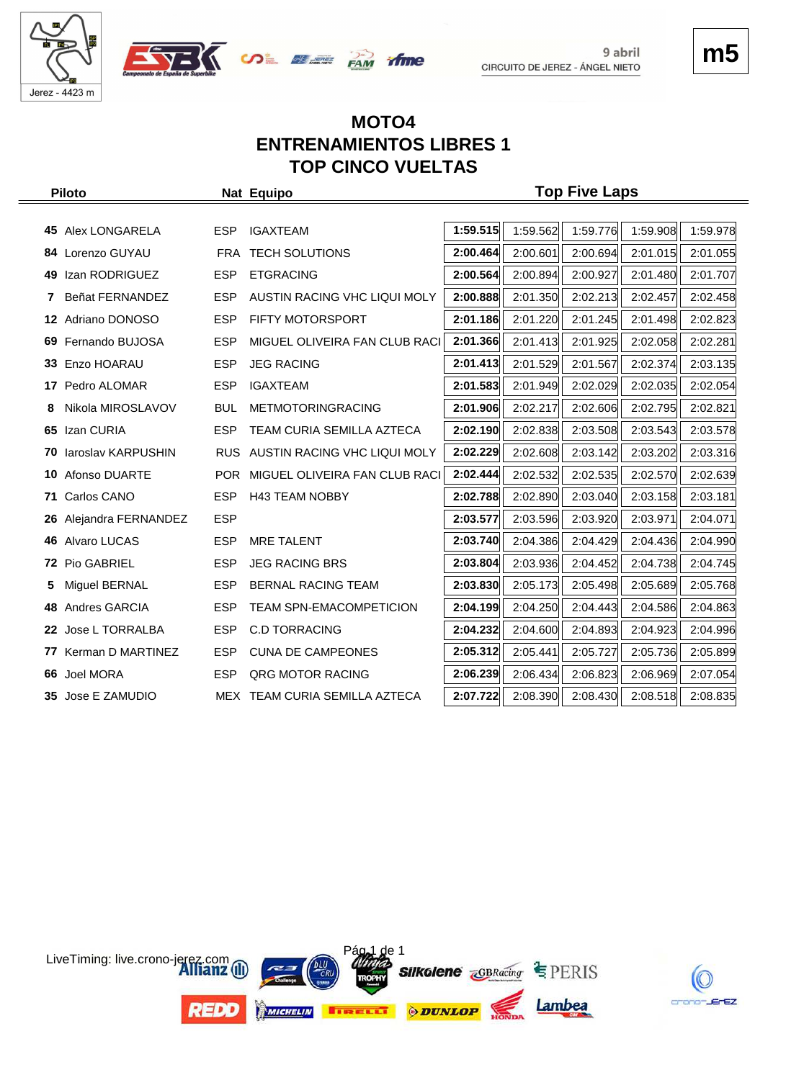



## **m5**

#### **MOTO4 ENTRENAMIENTOS LIBRES 1 TOP CINCO VUELTAS**

|   | <b>Piloto</b>                |            | Nat Equipo                        |          |          | <b>Top Five Laps</b> |          |          |
|---|------------------------------|------------|-----------------------------------|----------|----------|----------------------|----------|----------|
|   |                              |            |                                   |          |          |                      |          |          |
|   | 45 Alex LONGARELA            | <b>ESP</b> | <b>IGAXTEAM</b>                   | 1:59.515 | 1:59.562 | 1:59.776             | 1:59.908 | 1:59.978 |
|   | 84 Lorenzo GUYAU             | FRA        | <b>TECH SOLUTIONS</b>             | 2:00.464 | 2:00.601 | 2:00.694             | 2:01.015 | 2:01.055 |
|   | 49 Izan RODRIGUEZ            | <b>ESP</b> | <b>ETGRACING</b>                  | 2:00.564 | 2:00.894 | 2:00.927             | 2:01.480 | 2:01.707 |
| 7 | Beñat FERNANDEZ              | <b>ESP</b> | AUSTIN RACING VHC LIQUI MOLY      | 2:00.888 | 2:01.350 | 2:02.213             | 2:02.457 | 2:02.458 |
|   | 12 Adriano DONOSO            | <b>ESP</b> | <b>FIFTY MOTORSPORT</b>           | 2:01.186 | 2:01.220 | 2:01.245             | 2:01.498 | 2:02.823 |
|   | 69 Fernando BUJOSA           | <b>ESP</b> | MIGUEL OLIVEIRA FAN CLUB RACI     | 2:01.366 | 2:01.413 | 2:01.925             | 2:02.058 | 2:02.281 |
|   | 33 Enzo HOARAU               | <b>ESP</b> | <b>JEG RACING</b>                 | 2:01.413 | 2:01.529 | 2:01.567             | 2:02.374 | 2:03.135 |
|   | 17 Pedro ALOMAR              | <b>ESP</b> | <b>IGAXTEAM</b>                   | 2:01.583 | 2:01.949 | 2:02.029             | 2:02.035 | 2:02.054 |
| 8 | Nikola MIROSLAVOV            | <b>BUL</b> | METMOTORINGRACING                 | 2:01.906 | 2:02.217 | 2:02.606             | 2:02.795 | 2:02.821 |
|   | 65 Izan CURIA                | <b>ESP</b> | TEAM CURIA SEMILLA AZTECA         | 2:02.190 | 2:02.838 | 2:03.508             | 2:03.543 | 2:03.578 |
|   | <b>70 laroslav KARPUSHIN</b> | RUS.       | AUSTIN RACING VHC LIQUI MOLY      | 2:02.229 | 2:02.608 | 2:03.142             | 2:03.202 | 2:03.316 |
|   | <b>10 Afonso DUARTE</b>      |            | POR MIGUEL OLIVEIRA FAN CLUB RACI | 2:02.444 | 2:02.532 | 2:02.535             | 2:02.570 | 2:02.639 |
|   | 71 Carlos CANO               | <b>ESP</b> | <b>H43 TEAM NOBBY</b>             | 2:02.788 | 2:02.890 | 2:03.040             | 2:03.158 | 2:03.181 |
|   | 26 Alejandra FERNANDEZ       | <b>ESP</b> |                                   | 2:03.577 | 2:03.596 | 2:03.920             | 2:03.971 | 2:04.071 |
|   | 46 Alvaro LUCAS              | <b>ESP</b> | <b>MRE TALENT</b>                 | 2:03.740 | 2:04.386 | 2:04.429             | 2:04.436 | 2:04.990 |
|   | 72 Pio GABRIEL               | <b>ESP</b> | <b>JEG RACING BRS</b>             | 2:03.804 | 2:03.936 | 2:04.452             | 2:04.738 | 2:04.745 |
| 5 | Miguel BERNAL                | <b>ESP</b> | BERNAL RACING TEAM                | 2:03.830 | 2:05.173 | 2:05.498             | 2:05.689 | 2:05.768 |
|   | 48 Andres GARCIA             | <b>ESP</b> | <b>TEAM SPN-EMACOMPETICION</b>    | 2:04.199 | 2:04.250 | 2:04.443             | 2:04.586 | 2:04.863 |
|   | 22 Jose L TORRALBA           | <b>ESP</b> | <b>C.D TORRACING</b>              | 2:04.232 | 2:04.600 | 2:04.893             | 2:04.923 | 2:04.996 |
|   | 77 Kerman D MARTINEZ         | <b>ESP</b> | <b>CUNA DE CAMPEONES</b>          | 2:05.312 | 2:05.441 | 2:05.727             | 2:05.736 | 2:05.899 |
|   | 66 Joel MORA                 | <b>ESP</b> | QRG MOTOR RACING                  | 2:06.239 | 2:06.434 | 2:06.823             | 2:06.969 | 2:07.054 |
|   | 35 Jose E ZAMUDIO            |            | MEX TEAM CURIA SEMILLA AZTECA     | 2:07.722 | 2:08.390 | 2:08.430             | 2:08.518 | 2:08.835 |



crono-JErEZ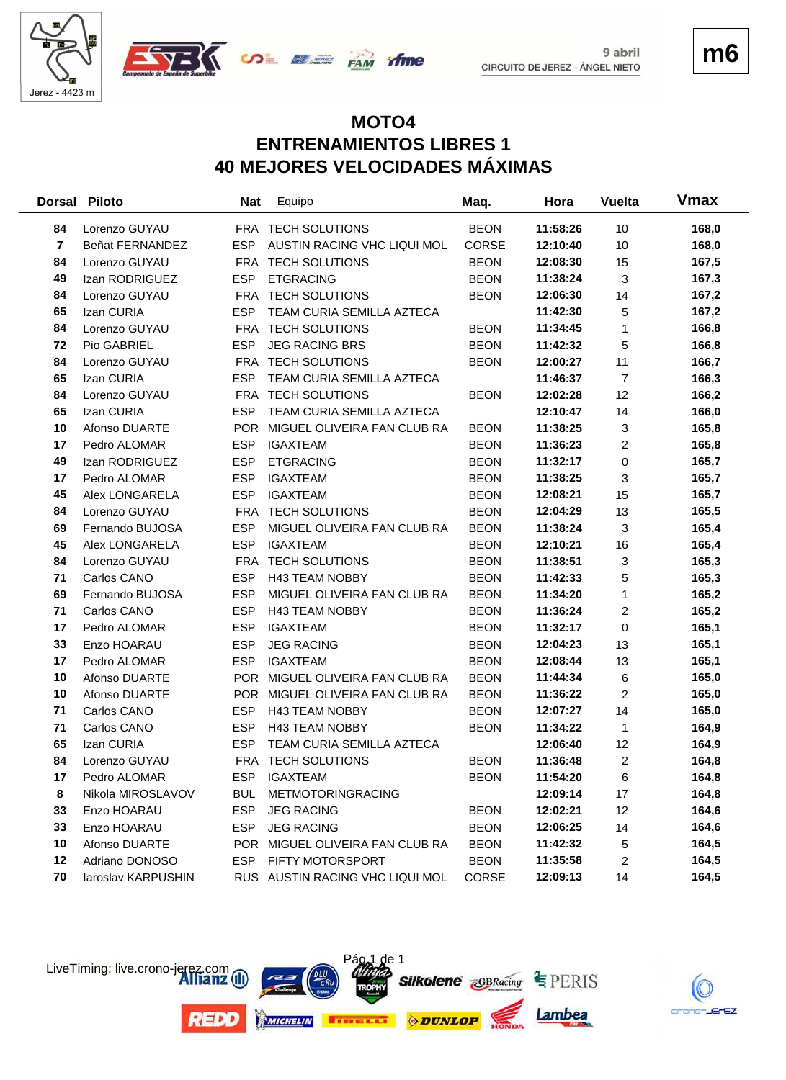



**m6**

#### **MOTO4 ENTRENAMIENTOS LIBRES 1 40 MEJORES VELOCIDADES MÁXIMAS**

time

| <b>Dorsal</b>  | <b>Piloto</b>      | <b>Nat</b> | Equipo                          | Maq.         | Hora     | <b>Vuelta</b>  | Vmax  |
|----------------|--------------------|------------|---------------------------------|--------------|----------|----------------|-------|
| 84             | Lorenzo GUYAU      |            | FRA TECH SOLUTIONS              | <b>BEON</b>  | 11:58:26 | 10             | 168,0 |
| $\overline{7}$ | Beñat FERNANDEZ    | <b>ESP</b> | AUSTIN RACING VHC LIQUI MOL     | <b>CORSE</b> | 12:10:40 | 10             | 168,0 |
| 84             | Lorenzo GUYAU      |            | FRA TECH SOLUTIONS              | <b>BEON</b>  | 12:08:30 | 15             | 167,5 |
| 49             | Izan RODRIGUEZ     | <b>ESP</b> | <b>ETGRACING</b>                | <b>BEON</b>  | 11:38:24 | $\mathbf{3}$   | 167,3 |
| 84             | Lorenzo GUYAU      |            | FRA TECH SOLUTIONS              | <b>BEON</b>  | 12:06:30 | 14             | 167,2 |
| 65             | Izan CURIA         | <b>ESP</b> | TEAM CURIA SEMILLA AZTECA       |              | 11:42:30 | 5              | 167,2 |
| 84             | Lorenzo GUYAU      |            | FRA TECH SOLUTIONS              | <b>BEON</b>  | 11:34:45 | 1              | 166,8 |
| 72             | Pio GABRIEL        | <b>ESP</b> | <b>JEG RACING BRS</b>           | <b>BEON</b>  | 11:42:32 | 5              | 166,8 |
| 84             | Lorenzo GUYAU      |            | FRA TECH SOLUTIONS              | <b>BEON</b>  | 12:00:27 | 11             | 166,7 |
| 65             | Izan CURIA         | <b>ESP</b> | TEAM CURIA SEMILLA AZTECA       |              | 11:46:37 | $\overline{7}$ | 166,3 |
| 84             | Lorenzo GUYAU      |            | FRA TECH SOLUTIONS              | <b>BEON</b>  | 12:02:28 | 12             | 166,2 |
| 65             | Izan CURIA         | <b>ESP</b> | TEAM CURIA SEMILLA AZTECA       |              | 12:10:47 | 14             | 166,0 |
| 10             | Afonso DUARTE      | <b>POR</b> | MIGUEL OLIVEIRA FAN CLUB RA     | <b>BEON</b>  | 11:38:25 | 3              | 165,8 |
| 17             | Pedro ALOMAR       | <b>ESP</b> | <b>IGAXTEAM</b>                 | <b>BEON</b>  | 11:36:23 | $\overline{c}$ | 165,8 |
| 49             | Izan RODRIGUEZ     | <b>ESP</b> | <b>ETGRACING</b>                | <b>BEON</b>  | 11:32:17 | 0              | 165,7 |
| 17             | Pedro ALOMAR       | <b>ESP</b> | <b>IGAXTEAM</b>                 | <b>BEON</b>  | 11:38:25 | 3              | 165,7 |
| 45             | Alex LONGARELA     | <b>ESP</b> | <b>IGAXTEAM</b>                 | <b>BEON</b>  | 12:08:21 | 15             | 165,7 |
| 84             | Lorenzo GUYAU      | <b>FRA</b> | <b>TECH SOLUTIONS</b>           | <b>BEON</b>  | 12:04:29 | 13             | 165,5 |
| 69             | Fernando BUJOSA    | <b>ESP</b> | MIGUEL OLIVEIRA FAN CLUB RA     | <b>BEON</b>  | 11:38:24 | 3              | 165,4 |
| 45             | Alex LONGARELA     | <b>ESP</b> | <b>IGAXTEAM</b>                 | <b>BEON</b>  | 12:10:21 | 16             | 165,4 |
| 84             | Lorenzo GUYAU      |            | FRA TECH SOLUTIONS              | <b>BEON</b>  | 11:38:51 | 3              | 165,3 |
| 71             | Carlos CANO        | <b>ESP</b> | H43 TEAM NOBBY                  | <b>BEON</b>  | 11:42:33 | 5              | 165,3 |
| 69             | Fernando BUJOSA    | <b>ESP</b> | MIGUEL OLIVEIRA FAN CLUB RA     | <b>BEON</b>  | 11:34:20 | 1              | 165,2 |
| 71             | Carlos CANO        | <b>ESP</b> | <b>H43 TEAM NOBBY</b>           | <b>BEON</b>  | 11:36:24 | 2              | 165,2 |
| 17             | Pedro ALOMAR       | <b>ESP</b> | <b>IGAXTEAM</b>                 | <b>BEON</b>  | 11:32:17 | 0              | 165,1 |
| 33             | Enzo HOARAU        | <b>ESP</b> | <b>JEG RACING</b>               | <b>BEON</b>  | 12:04:23 | 13             | 165,1 |
| 17             | Pedro ALOMAR       | <b>ESP</b> | <b>IGAXTEAM</b>                 | <b>BEON</b>  | 12:08:44 | 13             | 165,1 |
| 10             | Afonso DUARTE      |            | POR MIGUEL OLIVEIRA FAN CLUB RA | <b>BEON</b>  | 11:44:34 | 6              | 165,0 |
| 10             | Afonso DUARTE      | <b>POR</b> | MIGUEL OLIVEIRA FAN CLUB RA     | <b>BEON</b>  | 11:36:22 | $\overline{2}$ | 165,0 |
| 71             | Carlos CANO        | <b>ESP</b> | <b>H43 TEAM NOBBY</b>           | <b>BEON</b>  | 12:07:27 | 14             | 165,0 |
| 71             | Carlos CANO        | <b>ESP</b> | <b>H43 TEAM NOBBY</b>           | <b>BEON</b>  | 11:34:22 | $\mathbf{1}$   | 164,9 |
| 65             | Izan CURIA         | <b>ESP</b> | TEAM CURIA SEMILLA AZTECA       |              | 12:06:40 | 12             | 164,9 |
| 84             | Lorenzo GUYAU      |            | FRA TECH SOLUTIONS              | <b>BEON</b>  | 11:36:48 | $\overline{c}$ | 164,8 |
| 17             | Pedro ALOMAR       | <b>ESP</b> | <b>IGAXTEAM</b>                 | <b>BEON</b>  | 11:54:20 | 6              | 164,8 |
| 8              | Nikola MIROSLAVOV  | <b>BUL</b> | METMOTORINGRACING               |              | 12:09:14 | 17             | 164,8 |
| 33             | Enzo HOARAU        | <b>ESP</b> | <b>JEG RACING</b>               | <b>BEON</b>  | 12:02:21 | 12             | 164,6 |
| 33             | Enzo HOARAU        | <b>ESP</b> | <b>JEG RACING</b>               | <b>BEON</b>  | 12:06:25 | 14             | 164,6 |
| 10             | Afonso DUARTE      | <b>POR</b> | MIGUEL OLIVEIRA FAN CLUB RA     | <b>BEON</b>  | 11:42:32 | 5              | 164,5 |
| 12             | Adriano DONOSO     | <b>ESP</b> | FIFTY MOTORSPORT                | <b>BEON</b>  | 11:35:58 | 2              | 164,5 |
| 70             | laroslav KARPUSHIN |            | RUS AUSTIN RACING VHC LIQUI MOL | CORSE        | 12:09:13 | 14             | 164,5 |